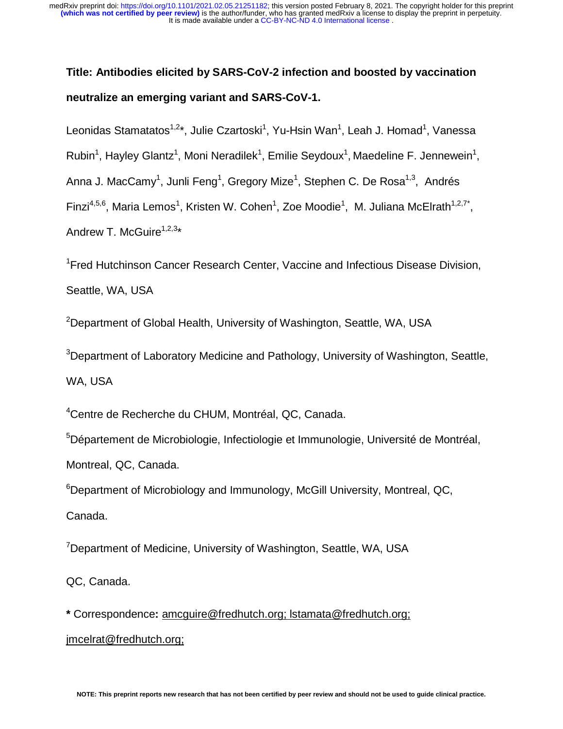# **Title: Antibodies elicited by SARS-CoV-2 infection and boosted by vaccination neutralize an emerging variant and SARS-CoV-1.**

Leonidas Stamatatos<sup>1,2\*</sup>, Julie Czartoski<sup>1</sup>, Yu-Hsin Wan<sup>1</sup>, Leah J. Homad<sup>1</sup>, Vanessa

Rubin<sup>1</sup>, Hayley Glantz<sup>1</sup>, Moni Neradilek<sup>1</sup>, Emilie Seydoux<sup>1</sup>, Maedeline F. Jennewein<sup>1</sup>,

Anna J. MacCamy<sup>1</sup>, Junli Feng<sup>1</sup>, Gregory Mize<sup>1</sup>, Stephen C. De Rosa<sup>1,3</sup>, Andrés

Finzi<sup>4,5,6</sup>, Maria Lemos<sup>1</sup>, Kristen W. Cohen<sup>1</sup>, Zoe Moodie<sup>1</sup>, M. Juliana McElrath<sup>1,2,7\*</sup>,

Andrew T. McGuire<sup>1,2,3\*</sup>

<sup>1</sup>Fred Hutchinson Cancer Research Center, Vaccine and Infectious Disease Division, Seattle, WA, USA

<sup>2</sup>Department of Global Health, University of Washington, Seattle, WA, USA

<sup>3</sup>Department of Laboratory Medicine and Pathology, University of Washington, Seattle, WA, USA

4 Centre de Recherche du CHUM, Montréal, QC, Canada.

<sup>5</sup>Département de Microbiologie, Infectiologie et Immunologie, Université de Montréal, Montreal, QC, Canada.

<sup>6</sup>Department of Microbiology and Immunology, McGill University, Montreal, QC, Canada.

<sup>7</sup>Department of Medicine, University of Washington, Seattle, WA, USA

QC, Canada.

**\*** Correspondence**:** amcguire@fredhutch.org; lstamata@fredhutch.org; jmcelrat@fredhutch.org;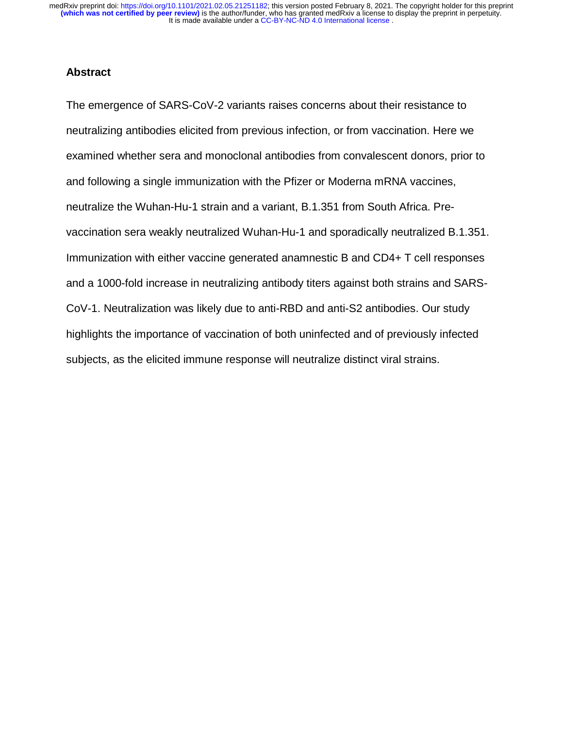#### **Abstract**

The emergence of SARS-CoV-2 variants raises concerns about their resistance to neutralizing antibodies elicited from previous infection, or from vaccination. Here we examined whether sera and monoclonal antibodies from convalescent donors, prior to and following a single immunization with the Pfizer or Moderna mRNA vaccines, neutralize the Wuhan-Hu-1 strain and a variant, B.1.351 from South Africa. Prevaccination sera weakly neutralized Wuhan-Hu-1 and sporadically neutralized B.1.351. Immunization with either vaccine generated anamnestic B and CD4+ T cell responses and a 1000-fold increase in neutralizing antibody titers against both strains and SARS-CoV-1. Neutralization was likely due to anti-RBD and anti-S2 antibodies. Our study highlights the importance of vaccination of both uninfected and of previously infected subjects, as the elicited immune response will neutralize distinct viral strains.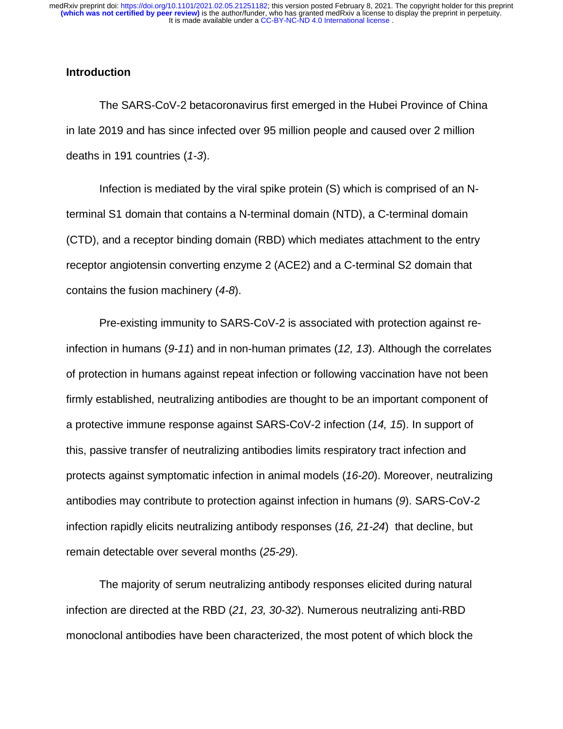#### **Introduction**

The SARS-CoV-2 betacoronavirus first emerged in the Hubei Province of China in late 2019 and has since infected over 95 million people and caused over 2 million deaths in 191 countries (*1-3*).

Infection is mediated by the viral spike protein (S) which is comprised of an Nterminal S1 domain that contains a N-terminal domain (NTD), a C-terminal domain (CTD), and a receptor binding domain (RBD) which mediates attachment to the entry receptor angiotensin converting enzyme 2 (ACE2) and a C-terminal S2 domain that contains the fusion machinery (*4-8*).

Pre-existing immunity to SARS-CoV-2 is associated with protection against reinfection in humans (*9-11*) and in non-human primates (*12, 13*). Although the correlates of protection in humans against repeat infection or following vaccination have not been firmly established, neutralizing antibodies are thought to be an important component of a protective immune response against SARS-CoV-2 infection (*14, 15*). In support of this, passive transfer of neutralizing antibodies limits respiratory tract infection and protects against symptomatic infection in animal models (*16-20*). Moreover, neutralizing antibodies may contribute to protection against infection in humans (*9*). SARS-CoV-2 infection rapidly elicits neutralizing antibody responses (*16, 21-24*) that decline, but remain detectable over several months (*25-29*).

The majority of serum neutralizing antibody responses elicited during natural infection are directed at the RBD (*21, 23, 30-32*). Numerous neutralizing anti-RBD monoclonal antibodies have been characterized, the most potent of which block the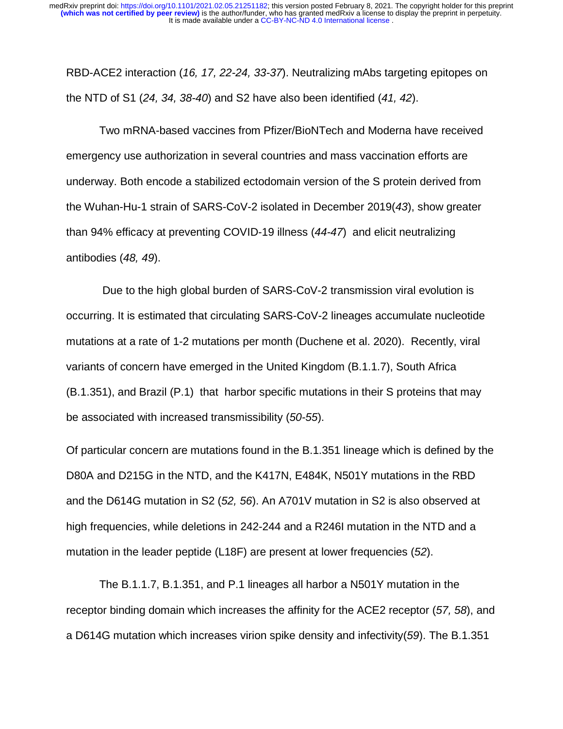RBD-ACE2 interaction (*16, 17, 22-24, 33-37*). Neutralizing mAbs targeting epitopes on the NTD of S1 (*24, 34, 38-40*) and S2 have also been identified (*41, 42*).

Two mRNA-based vaccines from Pfizer/BioNTech and Moderna have received emergency use authorization in several countries and mass vaccination efforts are underway. Both encode a stabilized ectodomain version of the S protein derived from the Wuhan-Hu-1 strain of SARS-CoV-2 isolated in December 2019(*43*), show greater than 94% efficacy at preventing COVID-19 illness (*44-47*) and elicit neutralizing antibodies (*48, 49*).

 Due to the high global burden of SARS-CoV-2 transmission viral evolution is occurring. It is estimated that circulating SARS-CoV-2 lineages accumulate nucleotide mutations at a rate of 1-2 mutations per month (Duchene et al. 2020). Recently, viral variants of concern have emerged in the United Kingdom (B.1.1.7), South Africa (B.1.351), and Brazil (P.1) that harbor specific mutations in their S proteins that may be associated with increased transmissibility (*50-55*).

Of particular concern are mutations found in the B.1.351 lineage which is defined by the D80A and D215G in the NTD, and the K417N, E484K, N501Y mutations in the RBD and the D614G mutation in S2 (*52, 56*). An A701V mutation in S2 is also observed at high frequencies, while deletions in 242-244 and a R246I mutation in the NTD and a mutation in the leader peptide (L18F) are present at lower frequencies (*52*).

The B.1.1.7, B.1.351, and P.1 lineages all harbor a N501Y mutation in the receptor binding domain which increases the affinity for the ACE2 receptor (*57, 58*), and a D614G mutation which increases virion spike density and infectivity(*59*). The B.1.351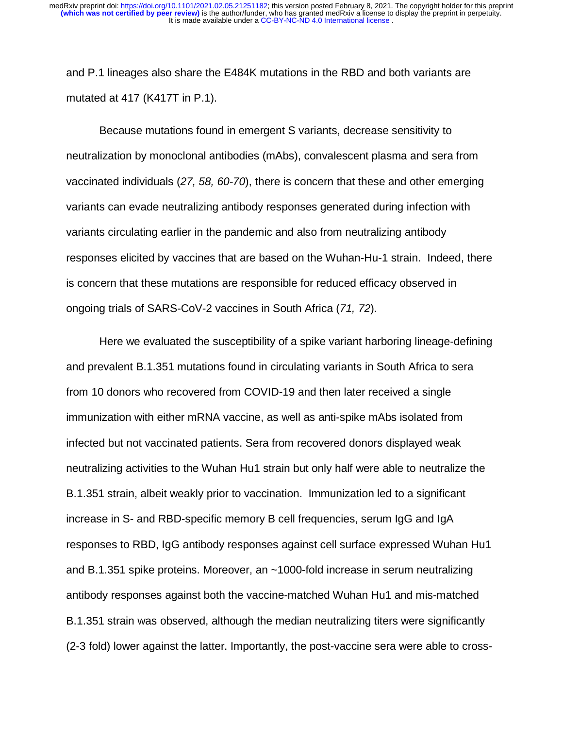and P.1 lineages also share the E484K mutations in the RBD and both variants are mutated at 417 (K417T in P.1).

Because mutations found in emergent S variants, decrease sensitivity to neutralization by monoclonal antibodies (mAbs), convalescent plasma and sera from vaccinated individuals (*27, 58, 60-70*), there is concern that these and other emerging variants can evade neutralizing antibody responses generated during infection with variants circulating earlier in the pandemic and also from neutralizing antibody responses elicited by vaccines that are based on the Wuhan-Hu-1 strain. Indeed, there is concern that these mutations are responsible for reduced efficacy observed in ongoing trials of SARS-CoV-2 vaccines in South Africa (*71, 72*).

Here we evaluated the susceptibility of a spike variant harboring lineage-defining and prevalent B.1.351 mutations found in circulating variants in South Africa to sera from 10 donors who recovered from COVID-19 and then later received a single immunization with either mRNA vaccine, as well as anti-spike mAbs isolated from infected but not vaccinated patients. Sera from recovered donors displayed weak neutralizing activities to the Wuhan Hu1 strain but only half were able to neutralize the B.1.351 strain, albeit weakly prior to vaccination. Immunization led to a significant increase in S- and RBD-specific memory B cell frequencies, serum IgG and IgA responses to RBD, IgG antibody responses against cell surface expressed Wuhan Hu1 and B.1.351 spike proteins. Moreover, an ~1000-fold increase in serum neutralizing antibody responses against both the vaccine-matched Wuhan Hu1 and mis-matched B.1.351 strain was observed, although the median neutralizing titers were significantly (2-3 fold) lower against the latter. Importantly, the post-vaccine sera were able to cross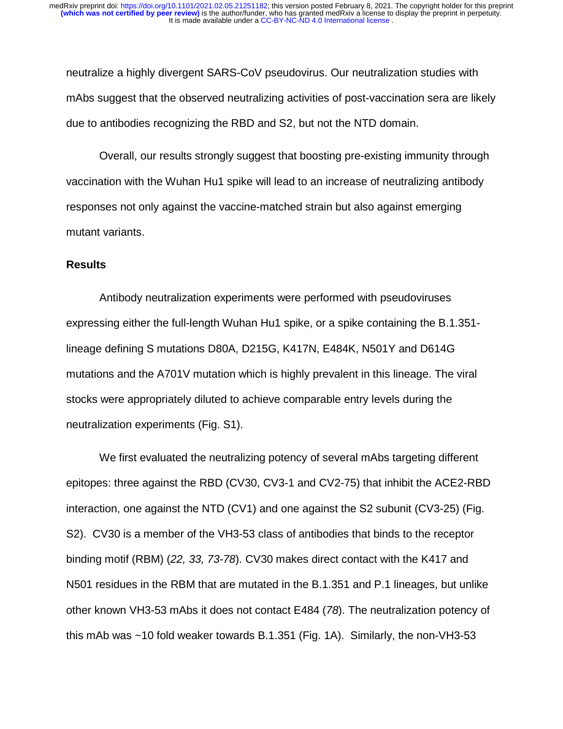neutralize a highly divergent SARS-CoV pseudovirus. Our neutralization studies with mAbs suggest that the observed neutralizing activities of post-vaccination sera are likely due to antibodies recognizing the RBD and S2, but not the NTD domain.

Overall, our results strongly suggest that boosting pre-existing immunity through vaccination with the Wuhan Hu1 spike will lead to an increase of neutralizing antibody responses not only against the vaccine-matched strain but also against emerging mutant variants.

#### **Results**

Antibody neutralization experiments were performed with pseudoviruses expressing either the full-length Wuhan Hu1 spike, or a spike containing the B.1.351 lineage defining S mutations D80A, D215G, K417N, E484K, N501Y and D614G mutations and the A701V mutation which is highly prevalent in this lineage. The viral stocks were appropriately diluted to achieve comparable entry levels during the neutralization experiments (Fig. S1).

We first evaluated the neutralizing potency of several mAbs targeting different epitopes: three against the RBD (CV30, CV3-1 and CV2-75) that inhibit the ACE2-RBD interaction, one against the NTD (CV1) and one against the S2 subunit (CV3-25) (Fig. S2). CV30 is a member of the VH3-53 class of antibodies that binds to the receptor binding motif (RBM) (*22, 33, 73-78*). CV30 makes direct contact with the K417 and N501 residues in the RBM that are mutated in the B.1.351 and P.1 lineages, but unlike other known VH3-53 mAbs it does not contact E484 (*78*). The neutralization potency of this mAb was ~10 fold weaker towards B.1.351 (Fig. 1A). Similarly, the non-VH3-53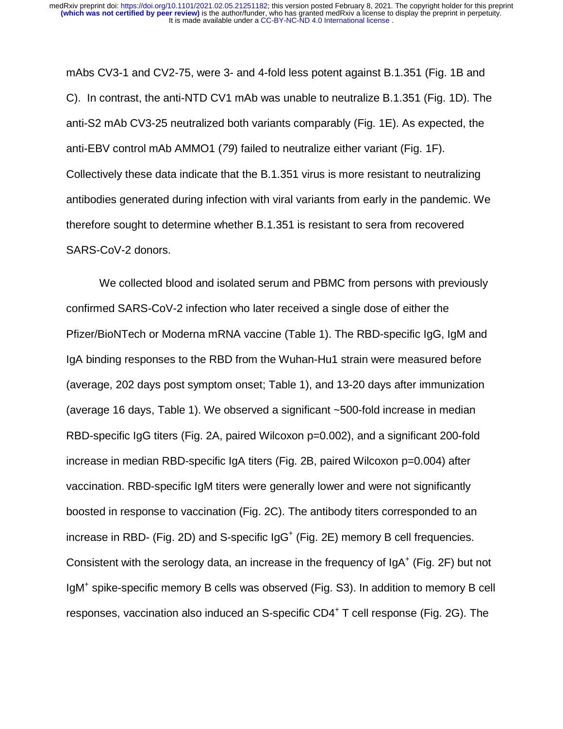mAbs CV3-1 and CV2-75, were 3- and 4-fold less potent against B.1.351 (Fig. 1B and C). In contrast, the anti-NTD CV1 mAb was unable to neutralize B.1.351 (Fig. 1D). The anti-S2 mAb CV3-25 neutralized both variants comparably (Fig. 1E). As expected, the anti-EBV control mAb AMMO1 (*79*) failed to neutralize either variant (Fig. 1F). Collectively these data indicate that the B.1.351 virus is more resistant to neutralizing antibodies generated during infection with viral variants from early in the pandemic. We therefore sought to determine whether B.1.351 is resistant to sera from recovered SARS-CoV-2 donors.

We collected blood and isolated serum and PBMC from persons with previously confirmed SARS-CoV-2 infection who later received a single dose of either the Pfizer/BioNTech or Moderna mRNA vaccine (Table 1). The RBD-specific IgG, IgM and IgA binding responses to the RBD from the Wuhan-Hu1 strain were measured before (average, 202 days post symptom onset; Table 1), and 13-20 days after immunization (average 16 days, Table 1). We observed a significant ~500-fold increase in median RBD-specific IgG titers (Fig. 2A, paired Wilcoxon p=0.002), and a significant 200-fold increase in median RBD-specific IgA titers (Fig. 2B, paired Wilcoxon p=0.004) after vaccination. RBD-specific IgM titers were generally lower and were not significantly boosted in response to vaccination (Fig. 2C). The antibody titers corresponded to an increase in RBD- (Fig. 2D) and S-specific  $\lg G$ <sup>+</sup> (Fig. 2E) memory B cell frequencies. Consistent with the serology data, an increase in the frequency of  $IgA^+$  (Fig. 2F) but not IgM<sup>+</sup> spike-specific memory B cells was observed (Fig. S3). In addition to memory B cell responses, vaccination also induced an S-specific CD4<sup>+</sup> T cell response (Fig. 2G). The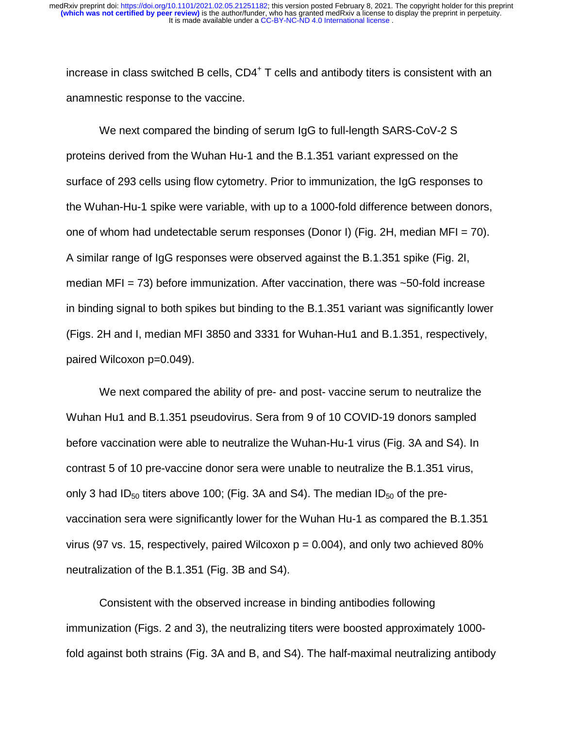increase in class switched B cells, CD4<sup>+</sup> T cells and antibody titers is consistent with an anamnestic response to the vaccine.

We next compared the binding of serum IgG to full-length SARS-CoV-2 S proteins derived from the Wuhan Hu-1 and the B.1.351 variant expressed on the surface of 293 cells using flow cytometry. Prior to immunization, the IgG responses to the Wuhan-Hu-1 spike were variable, with up to a 1000-fold difference between donors, one of whom had undetectable serum responses (Donor I) (Fig. 2H, median MFI = 70). A similar range of IgG responses were observed against the B.1.351 spike (Fig. 2I, median MFI = 73) before immunization. After vaccination, there was  $~50$ -fold increase in binding signal to both spikes but binding to the B.1.351 variant was significantly lower (Figs. 2H and I, median MFI 3850 and 3331 for Wuhan-Hu1 and B.1.351, respectively, paired Wilcoxon p=0.049).

We next compared the ability of pre- and post- vaccine serum to neutralize the Wuhan Hu1 and B.1.351 pseudovirus. Sera from 9 of 10 COVID-19 donors sampled before vaccination were able to neutralize the Wuhan-Hu-1 virus (Fig. 3A and S4). In contrast 5 of 10 pre-vaccine donor sera were unable to neutralize the B.1.351 virus, only 3 had ID<sub>50</sub> titers above 100; (Fig. 3A and S4). The median ID<sub>50</sub> of the prevaccination sera were significantly lower for the Wuhan Hu-1 as compared the B.1.351 virus (97 vs. 15, respectively, paired Wilcoxon  $p = 0.004$ ), and only two achieved 80% neutralization of the B.1.351 (Fig. 3B and S4).

Consistent with the observed increase in binding antibodies following immunization (Figs. 2 and 3), the neutralizing titers were boosted approximately 1000 fold against both strains (Fig. 3A and B, and S4). The half-maximal neutralizing antibody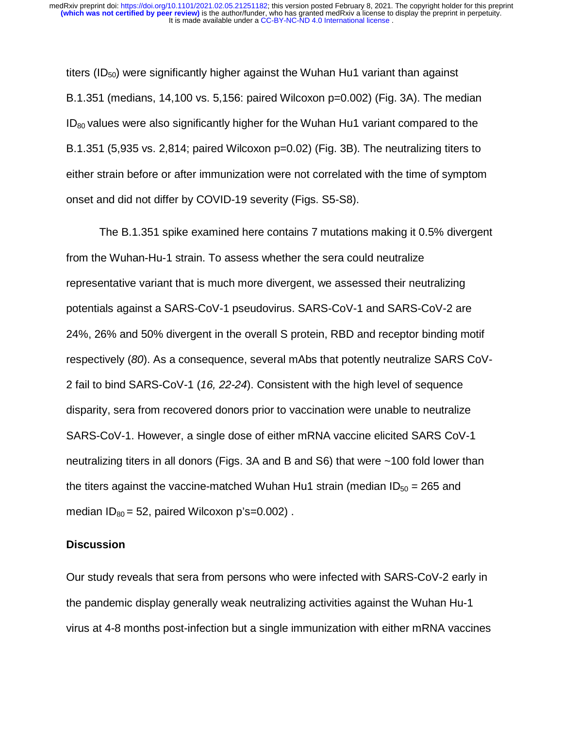titers ( $ID_{50}$ ) were significantly higher against the Wuhan Hu1 variant than against B.1.351 (medians, 14,100 vs. 5,156: paired Wilcoxon p=0.002) (Fig. 3A). The median  $ID<sub>80</sub>$  values were also significantly higher for the Wuhan Hu1 variant compared to the B.1.351 (5,935 vs. 2,814; paired Wilcoxon p=0.02) (Fig. 3B). The neutralizing titers to either strain before or after immunization were not correlated with the time of symptom onset and did not differ by COVID-19 severity (Figs. S5-S8).

The B.1.351 spike examined here contains 7 mutations making it 0.5% divergent from the Wuhan-Hu-1 strain. To assess whether the sera could neutralize representative variant that is much more divergent, we assessed their neutralizing potentials against a SARS-CoV-1 pseudovirus. SARS-CoV-1 and SARS-CoV-2 are 24%, 26% and 50% divergent in the overall S protein, RBD and receptor binding motif respectively (*80*). As a consequence, several mAbs that potently neutralize SARS CoV-2 fail to bind SARS-CoV-1 (*16, 22-24*). Consistent with the high level of sequence disparity, sera from recovered donors prior to vaccination were unable to neutralize SARS-CoV-1. However, a single dose of either mRNA vaccine elicited SARS CoV-1 neutralizing titers in all donors (Figs. 3A and B and S6) that were ~100 fold lower than the titers against the vaccine-matched Wuhan Hu1 strain (median  $ID_{50} = 265$  and median  $ID_{80} = 52$ , paired Wilcoxon p's=0.002).

#### **Discussion**

Our study reveals that sera from persons who were infected with SARS-CoV-2 early in the pandemic display generally weak neutralizing activities against the Wuhan Hu-1 virus at 4-8 months post-infection but a single immunization with either mRNA vaccines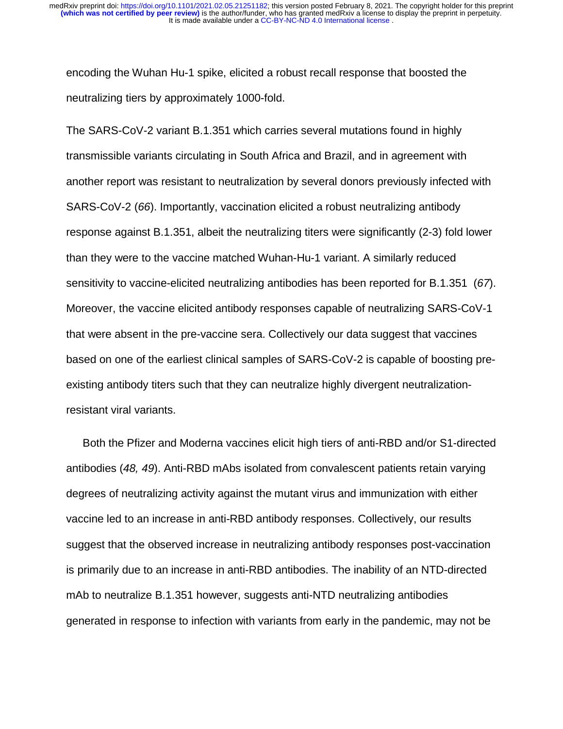encoding the Wuhan Hu-1 spike, elicited a robust recall response that boosted the neutralizing tiers by approximately 1000-fold.

The SARS-CoV-2 variant B.1.351 which carries several mutations found in highly transmissible variants circulating in South Africa and Brazil, and in agreement with another report was resistant to neutralization by several donors previously infected with SARS-CoV-2 (*66*). Importantly, vaccination elicited a robust neutralizing antibody response against B.1.351, albeit the neutralizing titers were significantly (2-3) fold lower than they were to the vaccine matched Wuhan-Hu-1 variant. A similarly reduced sensitivity to vaccine-elicited neutralizing antibodies has been reported for B.1.351 (*67*). Moreover, the vaccine elicited antibody responses capable of neutralizing SARS-CoV-1 that were absent in the pre-vaccine sera. Collectively our data suggest that vaccines based on one of the earliest clinical samples of SARS-CoV-2 is capable of boosting preexisting antibody titers such that they can neutralize highly divergent neutralizationresistant viral variants.

Both the Pfizer and Moderna vaccines elicit high tiers of anti-RBD and/or S1-directed antibodies (*48, 49*). Anti-RBD mAbs isolated from convalescent patients retain varying degrees of neutralizing activity against the mutant virus and immunization with either vaccine led to an increase in anti-RBD antibody responses. Collectively, our results suggest that the observed increase in neutralizing antibody responses post-vaccination is primarily due to an increase in anti-RBD antibodies. The inability of an NTD-directed mAb to neutralize B.1.351 however, suggests anti-NTD neutralizing antibodies generated in response to infection with variants from early in the pandemic, may not be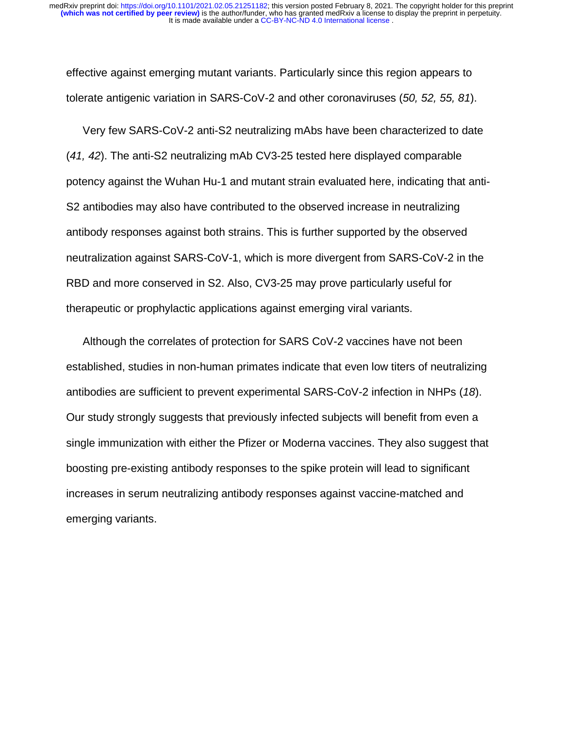effective against emerging mutant variants. Particularly since this region appears to tolerate antigenic variation in SARS-CoV-2 and other coronaviruses (*50, 52, 55, 81*).

Very few SARS-CoV-2 anti-S2 neutralizing mAbs have been characterized to date (*41, 42*). The anti-S2 neutralizing mAb CV3-25 tested here displayed comparable potency against the Wuhan Hu-1 and mutant strain evaluated here, indicating that anti-S2 antibodies may also have contributed to the observed increase in neutralizing antibody responses against both strains. This is further supported by the observed neutralization against SARS-CoV-1, which is more divergent from SARS-CoV-2 in the RBD and more conserved in S2. Also, CV3-25 may prove particularly useful for therapeutic or prophylactic applications against emerging viral variants.

Although the correlates of protection for SARS CoV-2 vaccines have not been established, studies in non-human primates indicate that even low titers of neutralizing antibodies are sufficient to prevent experimental SARS-CoV-2 infection in NHPs (*18*). Our study strongly suggests that previously infected subjects will benefit from even a single immunization with either the Pfizer or Moderna vaccines. They also suggest that boosting pre-existing antibody responses to the spike protein will lead to significant increases in serum neutralizing antibody responses against vaccine-matched and emerging variants.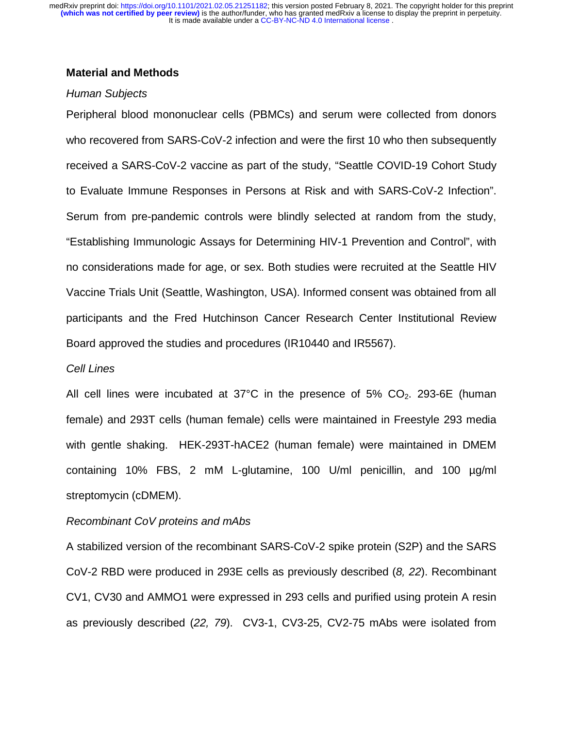### **Material and Methods**

#### *Human Subjects*

Peripheral blood mononuclear cells (PBMCs) and serum were collected from donors who recovered from SARS-CoV-2 infection and were the first 10 who then subsequently received a SARS-CoV-2 vaccine as part of the study, "Seattle COVID-19 Cohort Study to Evaluate Immune Responses in Persons at Risk and with SARS-CoV-2 Infection". Serum from pre-pandemic controls were blindly selected at random from the study, "Establishing Immunologic Assays for Determining HIV-1 Prevention and Control", with no considerations made for age, or sex. Both studies were recruited at the Seattle HIV Vaccine Trials Unit (Seattle, Washington, USA). Informed consent was obtained from all participants and the Fred Hutchinson Cancer Research Center Institutional Review Board approved the studies and procedures (IR10440 and IR5567).

#### *Cell Lines*

All cell lines were incubated at  $37^{\circ}$ C in the presence of  $5\%$  CO<sub>2</sub>. 293-6E (human female) and 293T cells (human female) cells were maintained in Freestyle 293 media with gentle shaking. HEK-293T-hACE2 (human female) were maintained in DMEM containing 10% FBS, 2 mM L-glutamine, 100 U/ml penicillin, and 100 µg/ml streptomycin (cDMEM).

#### *Recombinant CoV proteins and mAbs*

A stabilized version of the recombinant SARS-CoV-2 spike protein (S2P) and the SARS CoV-2 RBD were produced in 293E cells as previously described (*8, 22*). Recombinant CV1, CV30 and AMMO1 were expressed in 293 cells and purified using protein A resin as previously described (*22, 79*). CV3-1, CV3-25, CV2-75 mAbs were isolated from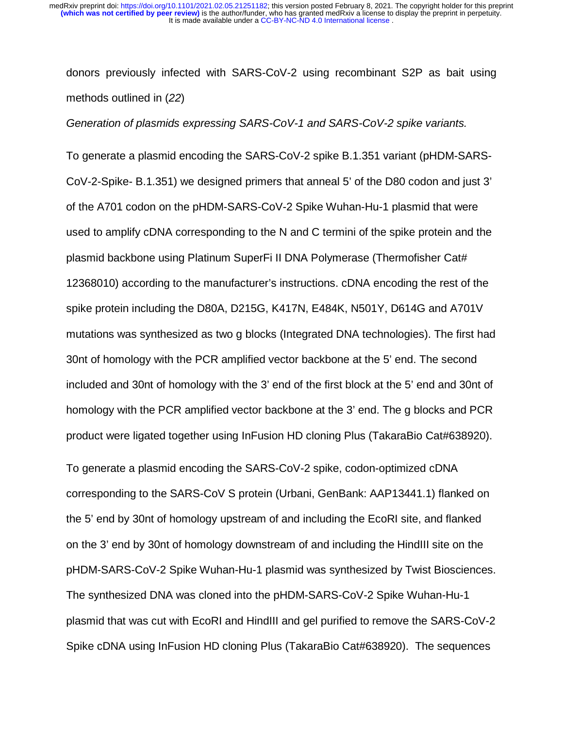donors previously infected with SARS-CoV-2 using recombinant S2P as bait using methods outlined in (*22*)

*Generation of plasmids expressing SARS-CoV-1 and SARS-CoV-2 spike variants.* 

To generate a plasmid encoding the SARS-CoV-2 spike B.1.351 variant (pHDM-SARS-CoV-2-Spike- B.1.351) we designed primers that anneal 5' of the D80 codon and just 3' of the A701 codon on the pHDM-SARS-CoV-2 Spike Wuhan-Hu-1 plasmid that were used to amplify cDNA corresponding to the N and C termini of the spike protein and the plasmid backbone using Platinum SuperFi II DNA Polymerase (Thermofisher Cat# 12368010) according to the manufacturer's instructions. cDNA encoding the rest of the spike protein including the D80A, D215G, K417N, E484K, N501Y, D614G and A701V mutations was synthesized as two g blocks (Integrated DNA technologies). The first had 30nt of homology with the PCR amplified vector backbone at the 5' end. The second included and 30nt of homology with the 3' end of the first block at the 5' end and 30nt of homology with the PCR amplified vector backbone at the 3' end. The g blocks and PCR product were ligated together using InFusion HD cloning Plus (TakaraBio Cat#638920).

To generate a plasmid encoding the SARS-CoV-2 spike, codon-optimized cDNA corresponding to the SARS-CoV S protein (Urbani, GenBank: AAP13441.1) flanked on the 5' end by 30nt of homology upstream of and including the EcoRI site, and flanked on the 3' end by 30nt of homology downstream of and including the HindIII site on the pHDM-SARS-CoV-2 Spike Wuhan-Hu-1 plasmid was synthesized by Twist Biosciences. The synthesized DNA was cloned into the pHDM-SARS-CoV-2 Spike Wuhan-Hu-1 plasmid that was cut with EcoRI and HindIII and gel purified to remove the SARS-CoV-2 Spike cDNA using InFusion HD cloning Plus (TakaraBio Cat#638920). The sequences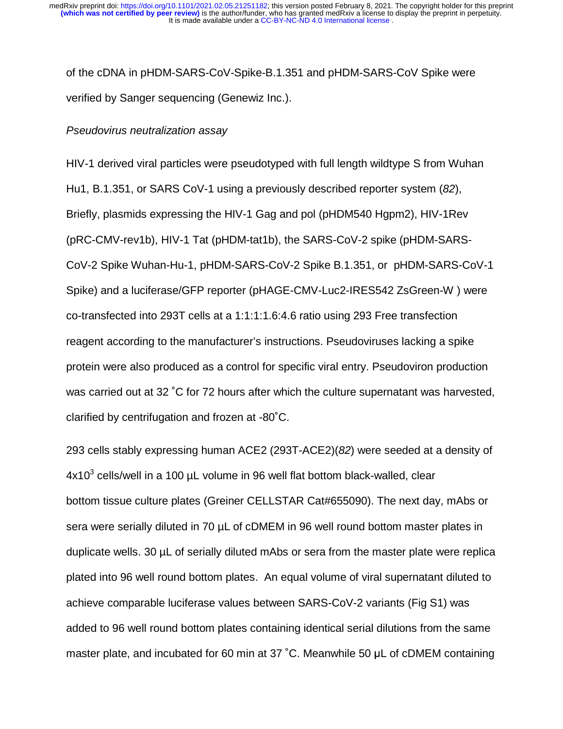of the cDNA in pHDM-SARS-CoV-Spike-B.1.351 and pHDM-SARS-CoV Spike were verified by Sanger sequencing (Genewiz Inc.).

#### *Pseudovirus neutralization assay*

HIV-1 derived viral particles were pseudotyped with full length wildtype S from Wuhan Hu1, B.1.351, or SARS CoV-1 using a previously described reporter system (*82*), Briefly, plasmids expressing the HIV-1 Gag and pol (pHDM540 Hgpm2), HIV-1Rev (pRC-CMV-rev1b), HIV-1 Tat (pHDM-tat1b), the SARS-CoV-2 spike (pHDM-SARS-CoV-2 Spike Wuhan-Hu-1, pHDM-SARS-CoV-2 Spike B.1.351, or pHDM-SARS-CoV-1 Spike) and a luciferase/GFP reporter (pHAGE-CMV-Luc2-IRES542 ZsGreen-W ) were co-transfected into 293T cells at a 1:1:1:1.6:4.6 ratio using 293 Free transfection reagent according to the manufacturer's instructions. Pseudoviruses lacking a spike protein were also produced as a control for specific viral entry. Pseudoviron production was carried out at 32 ˚C for 72 hours after which the culture supernatant was harvested, clarified by centrifugation and frozen at -80˚C.

293 cells stably expressing human ACE2 (293T-ACE2)(*82*) were seeded at a density of  $4x10<sup>3</sup>$  cells/well in a 100  $\mu$ L volume in 96 well flat bottom black-walled, clear bottom tissue culture plates (Greiner CELLSTAR Cat#655090). The next day, mAbs or sera were serially diluted in 70 µL of cDMEM in 96 well round bottom master plates in duplicate wells. 30 µL of serially diluted mAbs or sera from the master plate were replica plated into 96 well round bottom plates. An equal volume of viral supernatant diluted to achieve comparable luciferase values between SARS-CoV-2 variants (Fig S1) was added to 96 well round bottom plates containing identical serial dilutions from the same master plate, and incubated for 60 min at 37 ˚C. Meanwhile 50 μL of cDMEM containing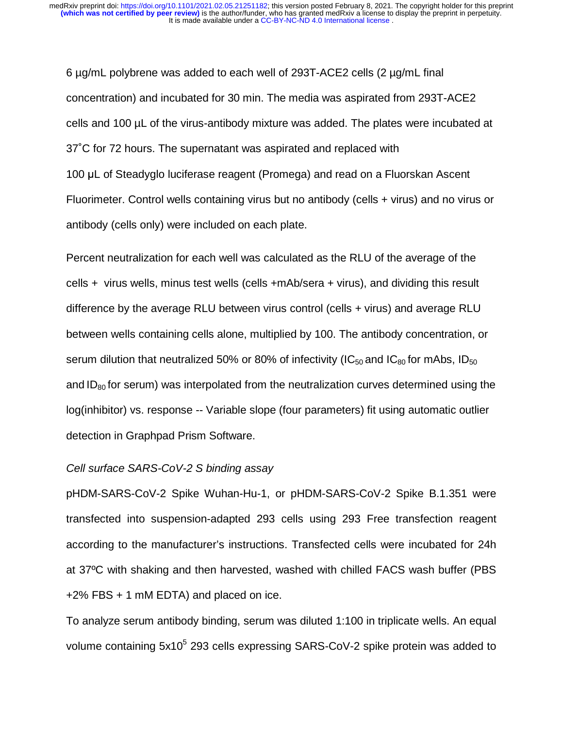6 µg/mL polybrene was added to each well of 293T-ACE2 cells (2 µg/mL final concentration) and incubated for 30 min. The media was aspirated from 293T-ACE2 cells and 100 µL of the virus-antibody mixture was added. The plates were incubated at 37˚C for 72 hours. The supernatant was aspirated and replaced with <sup>100</sup>μL of Steadyglo luciferase reagent (Promega) and read on a Fluorskan Ascent Fluorimeter. Control wells containing virus but no antibody (cells + virus) and no virus or antibody (cells only) were included on each plate.

Percent neutralization for each well was calculated as the RLU of the average of the cells + virus wells, minus test wells (cells +mAb/sera + virus), and dividing this result difference by the average RLU between virus control (cells + virus) and average RLU between wells containing cells alone, multiplied by 100. The antibody concentration, or serum dilution that neutralized 50% or 80% of infectivity ( $IC_{50}$  and  $IC_{80}$  for mAbs,  $ID_{50}$ and  $ID<sub>80</sub>$  for serum) was interpolated from the neutralization curves determined using the log(inhibitor) vs. response -- Variable slope (four parameters) fit using automatic outlier detection in Graphpad Prism Software.

#### *Cell surface SARS-CoV-2 S binding assay*

pHDM-SARS-CoV-2 Spike Wuhan-Hu-1, or pHDM-SARS-CoV-2 Spike B.1.351 were transfected into suspension-adapted 293 cells using 293 Free transfection reagent according to the manufacturer's instructions. Transfected cells were incubated for 24h at 37ºC with shaking and then harvested, washed with chilled FACS wash buffer (PBS +2% FBS + 1 mM EDTA) and placed on ice.

To analyze serum antibody binding, serum was diluted 1:100 in triplicate wells. An equal volume containing 5x10<sup>5</sup> 293 cells expressing SARS-CoV-2 spike protein was added to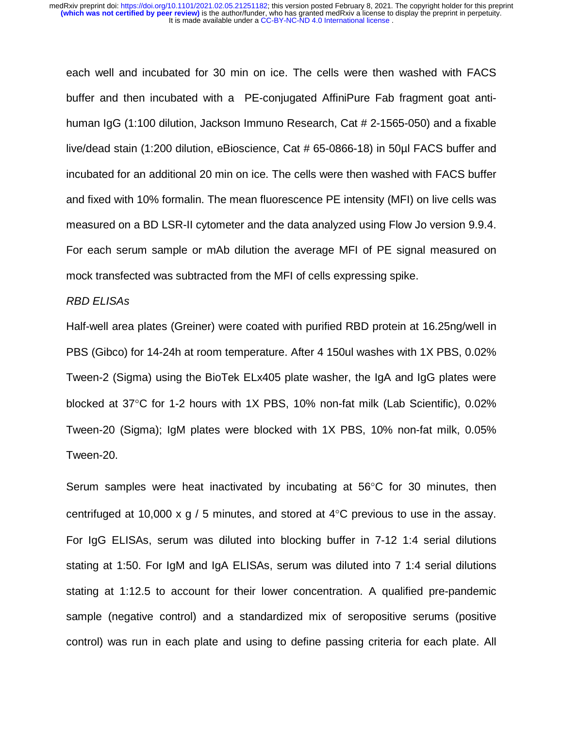each well and incubated for 30 min on ice. The cells were then washed with FACS buffer and then incubated with a PE-conjugated AffiniPure Fab fragment goat antihuman IgG (1:100 dilution, Jackson Immuno Research, Cat # 2-1565-050) and a fixable live/dead stain (1:200 dilution, eBioscience, Cat # 65-0866-18) in 50µl FACS buffer and incubated for an additional 20 min on ice. The cells were then washed with FACS buffer and fixed with 10% formalin. The mean fluorescence PE intensity (MFI) on live cells was measured on a BD LSR-II cytometer and the data analyzed using Flow Jo version 9.9.4. For each serum sample or mAb dilution the average MFI of PE signal measured on mock transfected was subtracted from the MFI of cells expressing spike.

#### *RBD ELISAs*

Half-well area plates (Greiner) were coated with purified RBD protein at 16.25ng/well in PBS (Gibco) for 14-24h at room temperature. After 4 150ul washes with 1X PBS, 0.02% Tween-2 (Sigma) using the BioTek ELx405 plate washer, the IgA and IgG plates were blocked at 37°C for 1-2 hours with 1X PBS, 10% non-fat milk (Lab Scientific), 0.02% Tween-20 (Sigma); IgM plates were blocked with 1X PBS, 10% non-fat milk, 0.05% Tween-20.

Serum samples were heat inactivated by incubating at 56°C for 30 minutes, then centrifuged at 10,000 x g / 5 minutes, and stored at 4°C previous to use in the assay. For IgG ELISAs, serum was diluted into blocking buffer in 7-12 1:4 serial dilutions stating at 1:50. For IgM and IgA ELISAs, serum was diluted into 7 1:4 serial dilutions stating at 1:12.5 to account for their lower concentration. A qualified pre-pandemic sample (negative control) and a standardized mix of seropositive serums (positive control) was run in each plate and using to define passing criteria for each plate. All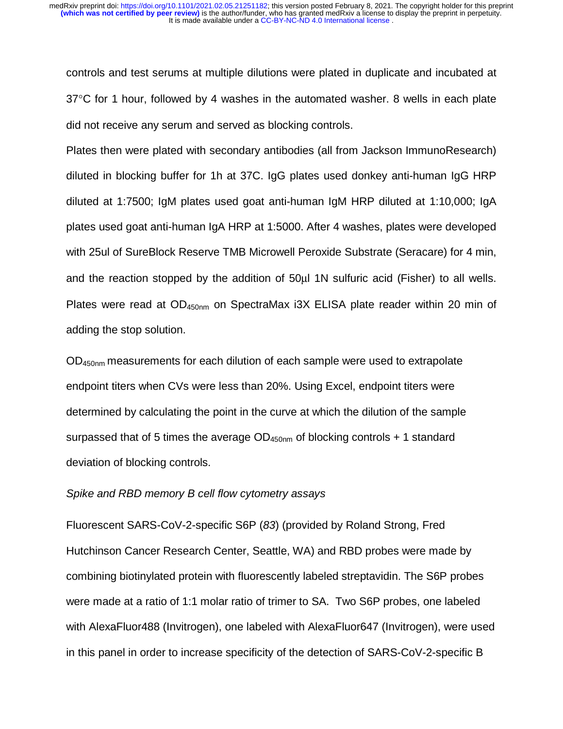controls and test serums at multiple dilutions were plated in duplicate and incubated at 37°C for 1 hour, followed by 4 washes in the automated washer. 8 wells in each plate did not receive any serum and served as blocking controls.

Plates then were plated with secondary antibodies (all from Jackson ImmunoResearch) diluted in blocking buffer for 1h at 37C. IgG plates used donkey anti-human IgG HRP diluted at 1:7500; IgM plates used goat anti-human IgM HRP diluted at 1:10,000; IgA plates used goat anti-human IgA HRP at 1:5000. After 4 washes, plates were developed with 25ul of SureBlock Reserve TMB Microwell Peroxide Substrate (Seracare) for 4 min, and the reaction stopped by the addition of 50μl 1N sulfuric acid (Fisher) to all wells. Plates were read at OD<sub>450nm</sub> on SpectraMax i3X ELISA plate reader within 20 min of adding the stop solution.

OD450nm measurements for each dilution of each sample were used to extrapolate endpoint titers when CVs were less than 20%. Using Excel, endpoint titers were determined by calculating the point in the curve at which the dilution of the sample surpassed that of 5 times the average  $OD_{450nm}$  of blocking controls + 1 standard deviation of blocking controls.

#### *Spike and RBD memory B cell flow cytometry assays*

Fluorescent SARS-CoV-2-specific S6P (*83*) (provided by Roland Strong, Fred Hutchinson Cancer Research Center, Seattle, WA) and RBD probes were made by combining biotinylated protein with fluorescently labeled streptavidin. The S6P probes were made at a ratio of 1:1 molar ratio of trimer to SA. Two S6P probes, one labeled with AlexaFluor488 (Invitrogen), one labeled with AlexaFluor647 (Invitrogen), were used in this panel in order to increase specificity of the detection of SARS-CoV-2-specific B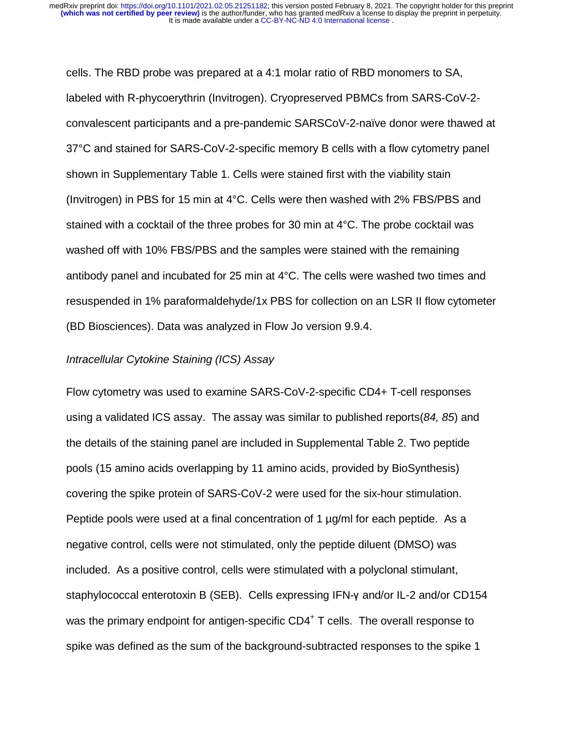cells. The RBD probe was prepared at a 4:1 molar ratio of RBD monomers to SA, labeled with R-phycoerythrin (Invitrogen). Cryopreserved PBMCs from SARS-CoV-2 convalescent participants and a pre-pandemic SARSCoV-2-naïve donor were thawed at 37°C and stained for SARS-CoV-2-specific memory B cells with a flow cytometry panel shown in Supplementary Table 1. Cells were stained first with the viability stain (Invitrogen) in PBS for 15 min at 4°C. Cells were then washed with 2% FBS/PBS and stained with a cocktail of the three probes for 30 min at 4°C. The probe cocktail was washed off with 10% FBS/PBS and the samples were stained with the remaining antibody panel and incubated for 25 min at 4°C. The cells were washed two times and resuspended in 1% paraformaldehyde/1x PBS for collection on an LSR II flow cytometer (BD Biosciences). Data was analyzed in Flow Jo version 9.9.4.

#### *Intracellular Cytokine Staining (ICS) Assay*

Flow cytometry was used to examine SARS-CoV-2-specific CD4+ T-cell responses using a validated ICS assay. The assay was similar to published reports(*84, 85*) and the details of the staining panel are included in Supplemental Table 2. Two peptide pools (15 amino acids overlapping by 11 amino acids, provided by BioSynthesis) covering the spike protein of SARS-CoV-2 were used for the six-hour stimulation. Peptide pools were used at a final concentration of 1  $\mu$ g/ml for each peptide. As a negative control, cells were not stimulated, only the peptide diluent (DMSO) was included. As a positive control, cells were stimulated with a polyclonal stimulant, staphylococcal enterotoxin B (SEB). Cells expressing IFN-γ and/or IL-2 and/or CD154 was the primary endpoint for antigen-specific CD4<sup>+</sup> T cells. The overall response to spike was defined as the sum of the background-subtracted responses to the spike 1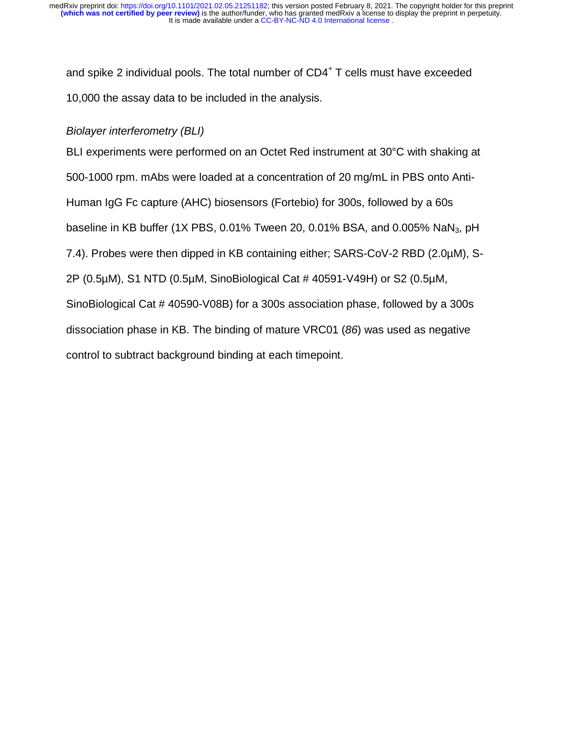and spike 2 individual pools. The total number of CD4<sup>+</sup> T cells must have exceeded 10,000 the assay data to be included in the analysis.

# *Biolayer interferometry (BLI)*

BLI experiments were performed on an Octet Red instrument at 30°C with shaking at 500-1000 rpm. mAbs were loaded at a concentration of 20 mg/mL in PBS onto Anti-Human IgG Fc capture (AHC) biosensors (Fortebio) for 300s, followed by a 60s baseline in KB buffer (1X PBS, 0.01% Tween 20, 0.01% BSA, and 0.005% NaN<sub>3</sub>, pH 7.4). Probes were then dipped in KB containing either; SARS-CoV-2 RBD (2.0µM), S-2P (0.5µM), S1 NTD (0.5µM, SinoBiological Cat # 40591-V49H) or S2 (0.5µM, SinoBiological Cat # 40590-V08B) for a 300s association phase, followed by a 300s dissociation phase in KB. The binding of mature VRC01 (*86*) was used as negative control to subtract background binding at each timepoint.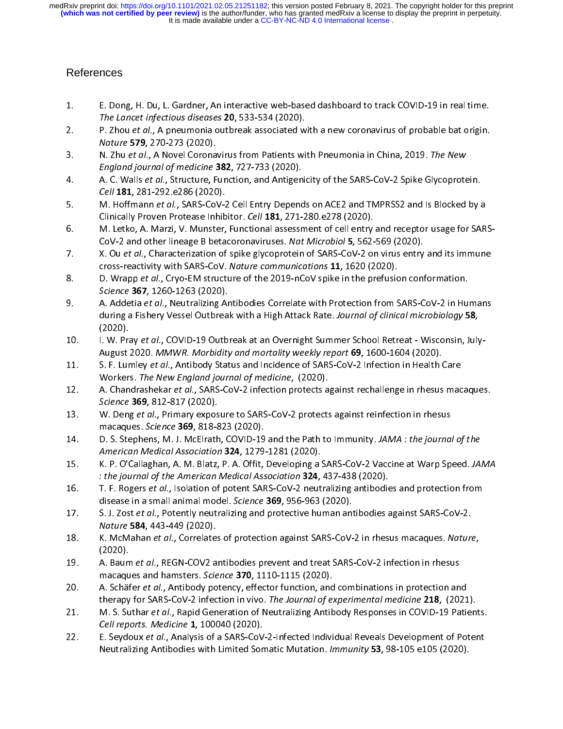# References

- $1.$
- 1. The Lancet infectious diseases 20, 533-534 (2020).<br>
2. P. Zhou et al., A pneumonia outbreak associated with a new coronavirus of probable bat origin.<br>
Nature 579, 270-273 (2020).<br>
3. N. Zhu et al., A Novel Coronavirus f The Lancet infectious diseases 20, 533-534 (2020).<br>P. Zhou et al., A pneumonia outbreak associated w<br>Nature 579, 270-273 (2020).<br>N. Zhu et al., A Novel Coronavirus from Patients wi<br>England journal of medicine 382, 727-733
- 2. P. Zhou et al., A pneumonia outbreak associated with a new coronavirus of probable bat origi<br>
2. Nature 579, 270-273 (2020).<br>
3. N. Zhu et al., A Novel Coronavirus from Patients with Pneumonia in China, 2019. The New<br>
2
- Cell 181, 281-292. e286 (2020). 3. N. Zhu et al., A Novel Coronavirus from Patients with Freumonia in China, 2015. The New<br>England journal of medicine 382, 727-733 (2020).<br>4. A. C. Walls et al., Structure, Function, and Antigenicity of the SARS-CoV-2 Spi England Journal by medicine 382, 727-733 (2020).<br>A. C. Walls *et al.*, Structure, Function, and Antigen<br>Cell 181, 281-292.e286 (2020).<br>M. Hoffmann *et al.*, SARS-CoV-2 Cell Entry Depenc<br>Clinically Proven Protease Inhibitor
- 4. A. C. Walls et al., Structure, Function, and Antigenicity of the SANS CoV-2 Spike Glycoprotein.<br> *Cell* 181, 281-292.e286 (2020).<br>
5. M. Hoffmann *et al.*, SARS-CoV-2 Cell Entry Depends on ACE2 and TMPRSS2 and Is Blocke
- Cell 181, 201 252.0200 (2020).<br>M. Hoffmann *et al.*, SARS-COV-2<br>Clinically Proven Protease Inhib<br>M. Letko, A. Marzi, V. Munster,<br>CoV-2 and other lineage B beta 5. M. Hoffmann *et al.*, SARS-CoV-2 Cell Entry Depends on ACE2 and TMPRSS2 and Is Blocked by a<br>Clinically Proven Protease Inhibitor. *Cell* **181**, 271-280.e278 (2020).<br>M. Letko, A. Marzi, V. Munster, Functional assessment CoV-2 and other lineage B betacoronaviruses. Nat Microbiol 5, 562-569 (2020).
- 
- $6.$  M. Mapp of a., Giyo Em structure of the 2015 Heovispine in the prefusion comformation. X. Ou *et al.*, Characterization of spike glycoprotein of SARS-CoV-2 on virus entry<br>cross-reactivity with SARS-CoV. Nature communications **11**, 1620 (2020).<br>D. Wrapp *et al.*, Cryo-EM structure of the 2019-nCoV spike in th 7. The conservation of spike glycoprocess of SARS-CoV-2 on virus entry and its immune<br>cross-reactivity with SARS-CoV. Nature communications 11, 1620 (2020).<br>8. D. Wrapp et al., Cryo-EM structure of the 2019-nCoV spike in t
- cross-reactivity with SARS-COV. Mature communications 11, 1620 (2020).<br>D. Wrapp et al., Cryo-EM structure of the 2019-nCoV spike in the prefusic<br>Science 367, 1260-1263 (2020).<br>A. Addetia et al., Neutralizing Antibodies Cor 8. B. Wrapp et al., Cryo-EM structure of the 2019-ncov spike in the prefusion comomation.<br>Science **367**, 1260-1263 (2020).<br>A. Addetia *et al.*, Neutralizing Antibodies Correlate with Protection from SARS-CoV-2 in Hu<br>during Science 367, 1260-1263 (2020).<br>A. Addetia *et al.*, Neutralizing Arduring a Fishery Vessel Outbrea<br>(2020).<br>I. W. Pray *et al.*, COVID-19 Outb 9. A. Addetia *et al.*, Neutralizing Antibodies Correlate with Protection from SARS-CoV-2 in Human<br>during a Fishery Vessel Outbreak with a High Attack Rate. Journal of clinical microbiology 58,<br>(2020).<br>I. W. Pray *et al.*,
- during a Fishery Vessel Outbreak with a High Attack Rate. Journal by emited microbiology 58,<br>(2020).<br>I. W. Pray et al., COVID-19 Outbreak at an Overnight Summer School Retreat Wisconsin, July<br>August 2020. MMWR. Morbidity
- (2020).<br>I. W. Pra<br>August<br>S. F. Lur<br>Worker 10. I. W. Fray et al., COVID-19 Outbreak at an Overnight Summer School Retreat - Wisconsin, July-<br>August 2020. MMWR. Morbidity and mortality weekly report 69, 1600-1604 (2020).<br>11. S. F. Lumley et al., Antibody Status and August 2020. MMWR. Morbidity and mortality weekly report 69, 1000-1604 (2020).<br>S. F. Lumley *et al.*, Antibody Status and Incidence of SARS-CoV-2 Infection in Health (<br>Workers. *The New England journal of medicine*, (2020)
- 11. S. F. Lumley et al., Antibody Status and Incidence of SARS-CoV-2 Infection in Health Care<br>
Workers. The New England journal of medicine, (2020).<br>
12. A. Chandrashekar et al., SARS-CoV-2 infection protects against recha
- Workers. The New England Journal of medicine, (2020).<br>A. Chandrashekar et al., SARS-CoV-2 infection protects a<br>Science 369, 812-817 (2020).<br>W. Deng et al., Primary exposure to SARS-CoV-2 protects<br>macaques. Science 369, 818 12. A. Chandrashekar et al., SARS-CoV-2 infection protects against rechallenge in rhesus macaques.<br>
Science 369, 812-817 (2020).<br>
13. W. Deng *et al.*, Primary exposure to SARS-CoV-2 protects against reinfection in rhesus<br> Science 369, 812-817 (2020).<br>W. Deng et al., Primary expos<br>macaques. Science 369, 818-8<br>D. S. Stephens, M. J. McElrath<br>American Medical Association
- 13. W. Deng *et al.*, Primary exposure to SARS-CoV-2 protects against reinfection in rhesus<br>macaques. Science **369**, 818-823 (2020).<br>14. D. S. Stephens, M. J. McElrath, COVID-19 and the Path to Immunity. JAMA: the journal American Medical Association 324, 1279-1281 (2020).
- 14. D. S. Stephens, M. J. McElrath, COVID-19 and the Path to Immunity. JAMA : the journal of the<br>American Medical Association 324, 1279-1281 (2020).<br>15. K. P. O'Callaghan, A. M. Blatz, P. A. Offit, Developing a SARS-CoV-2
- : the journal of the American Medical Association **324**, 437-438 (2020).<br>T. F. Rogers *et al.*, Isolation of potent SARS-CoV-2 neutralizing antibodie<br>disease in a small animal model. *Science* **369**, 956-963 (2020). K. P. O'Callaghan, A. M. Blatz, P. A. Offit, Developing a SARS-CoV-2 Vaccine at Warp Speed. JAMA<br>
16. T. F. Rogers *et al.*, Isolation of potent SARS-CoV-2 neutralizing antibodies and protection from<br>
disease in a small an
- : *the journal of the American Medical Association 324*, 437-438 (2020).<br>T. F. Rogers *et al.*, Isolation of potent SARS-CoV-2 neutralizing antibodie<br>disease in a small animal model. *Science* **369**, 956-963 (2020).<br>S. J. 16. T. F. Rogers et al., Isolation of potent SARS-CoV-2 neutralizing antibodies and protection from<br>disease in a small animal model. Science **369**, 956-963 (2020).<br>17. S. J. Zost *et al.*, Potently neutralizing and protect
- S. J. Zost *et al.*, Potently neutralizing and protective human antibodies against SARS-CoV-2.<br> *Nature* 584, 443-449 (2020).<br>
K. McMahan *et al.*, Correlates of protection against SARS-CoV-2 in rhesus macaques. *Nature*<br> 17. S. J. Zost et al., Potently Heathalizing and protective human antibodies against SARS-CoV-2.<br>
Mature **584**, 443-449 (2020).<br>
18. K. McMahan *et al.*, Correlates of protection against SARS-CoV-2 in rhesus macaques. Natu Nature 584, 443-449 (2020).<br>K. McMahan *et al.*, Correlate.<br>(2020).<br>A. Baum *et al.*, REGN-COV2 a<br>macaques and hamsters. Scie
- 18. K. McMahan et al., Correlates of proceedor against SARS-CoV-2 inflection in rhesus<br>
19. A. Baum *et al.*, REGN-COV2 antibodies prevent and treat SARS-CoV-2 infection in rhesus<br>
19. A. Schäfer *et al.*, Antibody potency (2020)<br>A. Baum<br>macaqu<br>A. Schäf<br>therapy
- 19. A. Baumet al., REGN-COV2 antibodies prevent and treat SARS-COV-2 infection in rifestas<br>macaques and hamsters. Science **370**, 1110-1115 (2020).<br>20. A. Schäfer *et al.*, Antibody potency, effector function, and combinati macaques and hamsters. Science 370, 1110-1115 (2020).<br>A. Schäfer *et al.*, Antibody potency, effector function, and<br>therapy for SARS-CoV-2 infection in vivo. *The Journal of e.*<br>M. S. Suthar *et al.*, Rapid Generation of N
- 20. A. Schäfer et al., Antibody potency, effector function, and combinations in protection and<br>therapy for SARS-CoV-2 infection in vivo. The Journal of experimental medicine 218, (2021<br>21. M. S. Suthar et al., Rapid Genera therapy for SARS-COV-2 infection in vivo. *The Sournar of experimental medicine* 210, (2021).<br>M. S. Suthar *et al.*, Rapid Generation of Neutralizing Antibody Responses in COVID-19 Patien<br>Cell reports. Medicine 1, 100040 (
- 21. M. S. Suthar et al., Rapid Generation of Neutralizing Antibody Responses in COVID-19 Patients.<br>Cell reports. Medicine 1, 100040 (2020).<br>22. E. Seydoux et al., Analysis of a SARS-CoV-2-Infected Individual Reveals Develo Centreports. Medicine 1, 100040 (2020).<br>E. Seydoux *et al.*, Analysis of a SARS-CoV<br>Neutralizing Antibodies with Limited Son 22. E. Seydoux *et al.*, Analysis of a SARS-CoV-2-Infected Individual Reveals Development of Pot<br>Neutralizing Antibodies with Limited Somatic Mutation. *Immunity* 53, 98-105 e105 (2020). Neutralizing Antibodies with Limited Somatic Mutation. Immunity 53, 98-105 e105 (2020).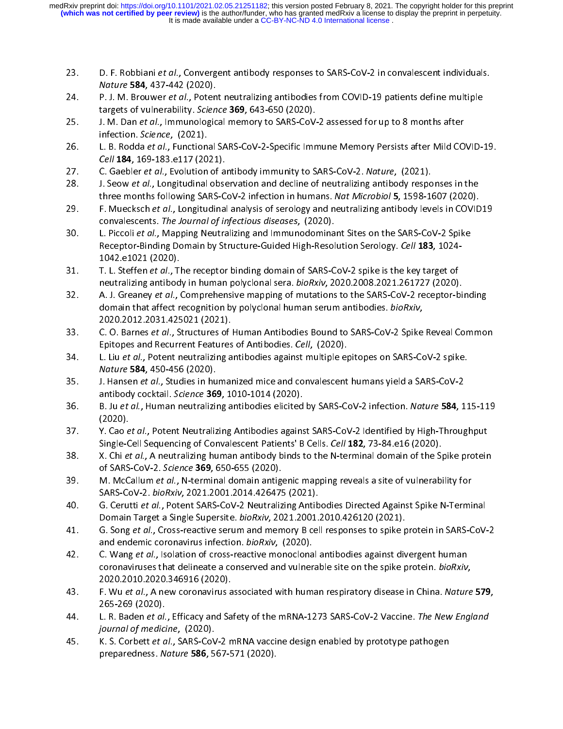- 
- 23. D. F. Robbiani et al., Convergent antibody responses to SARS-CoV-2 in convalescent individuals.<br>
24. P. J. M. Brouwer *et al.*, Potent neutralizing antibodies from COVID-19 patients define multiple<br>
targets of vulnerab Nature 584, 437-442 (2020).<br>P. J. M. Brouwer *et al.*, Poten<br>targets of vulnerability. Scien<br>J. M. Dan *et al.*, Immunologic<br>infection. Science, (2021).
- 24. Pr. 3. M. Brouwer et al., Potent neutralizing antibodies from COVID-19 patients define multiple<br>targets of vulnerability. Science 369, 643-650 (2020).<br>25. J. M. Dan et al., Immunological memory to SARS-CoV-2 assessed f
- targets of vulnerability. Science 369, 643-650 (2020).<br>J. M. Dan et al., Immunological memory to SARS-CoV-<br>infection. Science, (2021).<br>L. B. Rodda et al., Functional SARS-CoV-2-Specific Imm<br>Cell 184, 169-183.e117 (2021). 25. J. M. Dan et al., Immunological memory to SARS-CoV-2 assessed for up to 8 months after<br>infection. Science, (2021).<br>26. L. B. Rodda et al., Functional SARS-CoV-2-Specific Immune Memory Persists after Mild CO<br>27. C. Gaeb I. B. Rodda *et al.*, Function.<br>Cell **184**, 169-183.e117 (20<br>C. Gaebler *et al.*, Evolution.<br>J. Seow *et al.*, Longitudinal.
- 
- 26. L. B. Rodda et al., Functional SARS-CoV-2-Specific Immune Memory Persists after Mild COVID-15.<br>
27. C. Gaebler *et al.*, Evolution of antibody immunity to SARS-CoV-2. Nature, (2021).<br>
28. J. Seow *et al.*, Longitudinal C. Gaebler *et al.*, Evolution of antibody immunity to SARS-CoV-2. *Nature*, (2021).<br>C. Gaebler *et al.*, Evolution of antibody immunity to SARS-CoV-2. *Nature*, (2021).<br>J. Seow *et al.*, Longitudinal observation and decli 27. C. Gaebier et al., Evolution of antibody immunity to SARS-CoV-2. Mature, (2021).<br>28. J. Seow *et al.*, Longitudinal observation and decline of neutralizing antibody respo<br>29. F. Muecksch *et al.*, Longitudinal analysis
- 28. J. Seow et al., Longitudinal observation and decline of neutralizing antibody responses in the<br>three months following SARS-CoV-2 infection in humans. Nat Microbiol 5, 1598-1607 (2020).<br>29. F. Muecksch *et al.*, Longitu
- three months following SARS-Cov-2 infection in humans. Nut Microbiol 5, 1538-1607 (2020).<br>F. Muecksch *et al.*, Longitudinal analysis of serology and neutralizing antibody levels in COVID<br>convalescents. The Journal of infe 29. F. Muecksch et al., Longitudinal analysis of serology and neutralizing antibody levels in COVID19<br>convalescents. The Journal of infectious diseases, (2020).<br>30. L. Piccoli et al., Mapping Neutralizing and Immunodominan convalescents. The Journal by Injectious diseases, (2020).<br>L. Piccoli *et al.*, Mapping Neutralizing and Immunodomina<br>Receptor-Binding Domain by Structure-Guided High-Resol<br>1042.e1021 (2020).<br>T. L. Steffen *et al.*, The re 108. L. Piccoli *et al.*, Mapping Neutralizing and Immunodominant Sites on the SARS-CoV-2 Spil<br>Receptor-Binding Domain by Structure-Guided High-Resolution Serology. *Cell* 183, 1024-<br>1042.e1021 (2020).<br>31. T. L. Steffen *e*
- Receptor-Binding Bomain by Structure-Guided High-Resolution Serology. Cell 183, 1824-<br>1042.e1021 (2020).<br>T. L. Steffen *et al.*, The receptor binding domain of SARS-CoV-2 spike is the key target of<br>neutralizing antibody in
- T. L. Steffen *et al.*, T<br>T. L. Steffen *et al.*, T<br>neutralizing antibod<br>A. J. Greaney *et al.*, domain that affect r 31. T. L. Steffer et al., The receptor binding domain of SARS-CoV-2 spike is the key target of<br>neutralizing antibody in human polyclonal sera. *bioRxiv*, 2020.2008.2021.261727 (2020).<br>A. J. Greaney *et al.*, Comprehensive A. J. Greaney et al., Comprehensive mapping of mutations to the SARS-CoV-2 receptor-binding<br>domain that affect recognition by polyclonal human serum antibodies. *bioRxiv*,<br>2020.2012.2031.425021 (2021). 32. A. J. Greaney et al., Comprehensive mapping of mutations to the SARS-CoV-2 receptor-binding<br>domain that affect recognition by polyclonal human serum antibodies. *bioRxiv*,<br>2020.2012.2031.425021 (2021).<br>C. O. Barnes *et*
- domain that affect recognition by polycional human serum antibodies. *bionaly*,<br>2020.2012.2031.425021 (2021).<br>C. O. Barnes *et al.*, Structures of Human Antibodies Bound to SARS-CoV-2 Spike<br>Epitopes and Recurrent Features
- Epitopes and Recurrent Features of Antibodies. *Cell, (*2020).<br>L. Liu *et al.,* Potent neutralizing antibodies against multiple epitopes on SARS-CoV-2 spike.<br>*Nature* **584**, 450-456 (2020). 33. C. O. Barnes et al., Structures of Human Antibodies Bound to SARS-CoV-2 Spike Reveal Common<br>Epitopes and Recurrent Features of Antibodies against multiple epitopes on SARS-CoV-2 spike.<br>Nature 584, 450-456 (2020).<br>35. J
- Epitopes and Recurrent Features of Antibodies. Cell, (2020).<br>L. Liu et al., Potent neutralizing antibodies against multiple ep<br>Nature 584, 450-456 (2020).<br>J. Hansen et al., Studies in humanized mice and convalescent<br>antibo 34. L. Liu et al., Potent neutralizing antibodies against multiple epitopes on SARS-CoV-2 spike.<br>
35. J. Hansen *et al.*, Studies in humanized mice and convalescent humans yield a SARS-CoV-2<br>
36. B. Ju *et al.*, Human neut
- antibody cocktail. *Science* 369, 1010-1014 (2020).<br>
B. Ju et al., Human neutralizing antibodies elicited by SARS-CoV-2 infection. *Nature* 584, 115-11 (2020).<br>
Y. Cao et al., Potent Neutralizing Antibodies against SARS-Co 35. J. Hansen et al., Studies in humanized mice and convalescent humans yield a SARS-CoV-2<br>antibody cocktail. Science 369, 1010-1014 (2020).<br>36. B. Ju et al., Human neutralizing antibodies elicited by SARS-CoV-2 infection.
- antibody cocktail. Science 369, 1010-1014 (2020).<br>B. Ju et al., Human neutralizing antibodies elicited<br>(2020).<br>Y. Cao et al., Potent Neutralizing Antibodies agains<br>Single-Cell Sequencing of Convalescent Patients' B 36. B. Ju et al., Human neutralizing antibodies elicited by SARS-CoV-2 infection. Nature 384, 115-115<br>37. Y. Cao et al., Potent Neutralizing Antibodies against SARS-CoV-2 Identified by High-Throughput<br>Single-Cell Sequencin
- Single-Cell Sequencing of Convalescent Patients' B Cells. Cell 182, 73-84.e16 (2020).<br>X. Chi et al., A neutralizing human antibody binds to the N-terminal domain of the Spike pro<br>of SARS-CoV-2. Science 369, 650-655 (2020). Single-Cell Sequencing of Convalescent Patients' B Cells. *Cell* 182, 73-84.e16 (2020).<br>
38. X. Chi *et al.*, A neutralizing human antibody binds to the N-terminal domain of the Spike protein<br>
39. M. McCallum *et al.*, N-t Single-Cell Sequencing of Convalescent Patients' B Cells. *Cell* **182**, 73-84.e16 (2020).<br>X. Chi *et al.*, A neutralizing human antibody binds to the N-terminal domain of the S<sub>I</sub><br>of SARS-CoV-2. *Science* **369**, 650-655 (2
- 38. X. Chi et al., A neutralizing human antibody binds to the N-terminal domain of the Spike protein<br>of SARS-CoV-2. Science 369, 650-655 (2020).<br>39. M. McCallum et al., N-terminal domain antigenic mapping reveals a site of of SARS-Cov-2. Science 369, 650-655 (2020).<br>M. McCallum et al., N-terminal domain antigs<br>SARS-CoV-2. bioRxiv, 2021.2001.2014.426475<br>G. Cerutti et al., Potent SARS-CoV-2 Neutraliz<br>Domain Target a Single Supersite. bioRxiv,
- 39. M. McCallum et al., N-terminal domain antigenic mapping reveals a site of vulnerability for<br>SARS-CoV-2. bioRxiv, 2021.2001.2014.426475 (2021).<br>40. G. Cerutti et al., Potent SARS-CoV-2 Neutralizing Antibodies Directed A SARS-COV-2. bioRxiv, 2021.2001.2014.426475 (2021).<br>G. Cerutti *et al.*, Potent SARS-COV-2 Neutralizing Antib<br>Domain Target a Single Supersite. *bioRxiv*, 2021.2001.<br>G. Song *et al.*, Cross-reactive serum and memory B cel<br>a
- 40. G. Cerutti et al., Potent SARS-CoV-2 Neutralizing Antibodies Directed Against Spike N-Terminal<br>Domain Target a Single Supersite. *bioRxiv*, 2021.2001.2010.426120 (2021).<br>41. G. Song *et al.*, Cross-reactive serum and
- Bomain Target a Single Supersite. *biolity, 2021.2001.2010.420120* (2021).<br>G. Song *et al.*, Cross-reactive serum and memory B cell responses to spike p<br>and endemic coronavirus infection. *bioRxiv*, (2020).<br>C. Wang *et al.* 41. G. Song et al., Cross-reactive serum and memory B cell responses to spike protein in SARS-Cov-2<br>and endemic coronavirus infection. *bioRxiv*, (2020).<br>42. C. Wang *et al.*, Isolation of cross-reactive monoclonal antibod and endemic coronavirus infection. *bioNAN*, (2020).<br>C. Wang *et al.*, Isolation of cross-reactive monoclona<br>coronaviruses that delineate a conserved and vulner<br>2020.2010.2020.346916 (2020).<br>F. Wu *et al.*, A new coronavir 42. C. Wang *et al.*, Isolation of cross-reactive monoclonal antibodies against divergent human<br>coronaviruses that delineate a conserved and vulnerable site on the spike protein. *bioRxiv*,<br>2020.2010.2020.346916 (2020).<br>43
- coronaviruses that defineate a conserved and vulnerable site on the spike protein. bionary,<br>2020.2010.2020.346916 (2020).<br>F. Wu *et al.*, A new coronavirus associated with human respiratory disease in China. Nature<br>265-269 F. Wu *et al.*, A new coronavirus a<br>265-269 (2020).<br>L. R. Baden *et al.*, Efficacy and Sa<br>journal of medicine, (2020).<br>K. S. Sarkatt at al. SABS SaM2.
- 43. F. Wu et al., A new coronavirus associated with human respiratory disease in China. Nature 379,<br>265-269 (2020).<br>44. L. R. Baden *et al.*, Efficacy and Safety of the mRNA-1273 SARS-CoV-2 Vaccine. *The New England*<br>*jour* 265-269 (2020). *journal of medicine,* (2020).<br>45. K. S. Corbett *et al.*, SARS-CoV-2 mRNA vaccine design enabled by prototype pathogen
- preparedness. Nature 586, 567-571 (2020).  $\frac{1}{25}$ . K. S. Corbett et al., SARS-COV-2 minima vaccine design enabled by prototype pathogen preparedness. Nature 586, 567-571 (2020). preparedness. Nature 586, 567-571 (2020).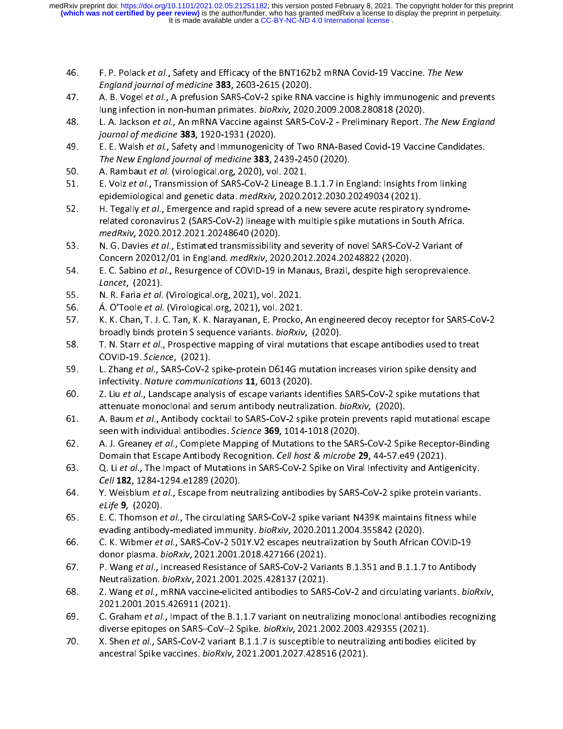- 
- 46. F. P. Polack et al., Safety and Efficacy of the BNT162b2 mRNA Covid-19 vaccine. The New<br>England journal of medicine 383, 2603-2615 (2020).<br>47. A. B. Vogel et al., A prefusion SARS-CoV-2 spike RNA vaccine is highly immu England journal of medicine 383, 2003-2013 (2020).<br>A. B. Vogel *et al.*, A prefusion SARS-CoV-2 spike RNA<br>lung infection in non-human primates. *bioRxiv*, 2020<br>L. A. Jackson *et al.*, An mRNA Vaccine against SARS-C<br>journal
- 47. A. B. Voger et al., A prefusion SARS-CoV-2 spike RNA vaccine is highly immanogenic and prevents<br>lung infection in non-human primates. *bioRxiv*, 2020.2009.2008.280818 (2020).<br>48. L. A. Jackson *et al.*, An mRNA Vaccine
- lung infection in non-hannah primates. *biolity, 2020.2009.2000.200010* (2020).<br>L. A. Jackson *et al.*, An mRNA Vaccine against SARS-CoV-2 Preliminary Report. 7<br>journal of medicine **383**, 1920-1931 (2020).<br>E. E. Walsh *e* 48. L. A. Jackson et al., An mixing vaccine against SANS-Cov-2 - Premiinary Report. The New England<br>
fournal of medicine 383, 1920-1931 (2020).<br>
49. E. E. Walsh et al., Safety and Immunogenicity of Two RNA-Based Covid-19 V Journal by medicine 383, 1920-1931 (2020).<br>E. E. Walsh *et al.*, Safety and Immunogenicit<br>The New England journal of medicine **383**, 2<br>A. Rambaut *et al.*, Transmission of SARS-CoV-2 Li
- 
- 49. E. E. Wash et al., Safety and Immunogenicity of Two RNA-Based Covid-19 Vaccine Candidates.<br>
The New England journal of medicine 383, 2439-2450 (2020).<br>
50. A. Rambaut et al. (virological.org, 2020), vol. 2021.<br>
51. E. The New England Journal of medicine 383, 2439-2430 (2020).<br>A. Rambaut *et al.* (virological.org, 2020), vol. 2021.<br>E. Volz *et al.*, Transmission of SARS-CoV-2 Lineage B.1.1.7 in Engidemiological and genetic data. *medRxiv*
- 51. E. Volz *et al.*, Transmission of SARS-CoV-2 Lineage B<br>epidemiological and genetic data. *medRxiv*, 2020.20<br>52. H. Tegally *et al.*, Emergence and rapid spread of a n<br>related coronavirus 2 (SARS-CoV-2) lineage with mu 51. E. Volz *et al.*, Transmission of SARS-CoV-2 Lineage B.1.1.7 in England: Insights from linking<br>epidemiological and genetic data. *medRxiv*, 2020.2012.2030.20249034 (2021).<br>H. Tegally *et al.*, Emergence and rapid sprea epidemiological and genetic data. *medixity*, 2020.2012.2030.20249034 (2021).<br>H. Tegally *et al.*, Emergence and rapid spread of a new severe acute respiratory<br>related coronavirus 2 (SARS-CoV-2) lineage with multiple spike 52. H. Tegally et al., Emergence and rapid spread or a new severe acute respiratory syndrome-<br>related coronavirus 2 (SARS-CoV-2) lineage with multiple spike mutations in South Africa.<br>medRxiv, 2020.2012.2021.20248640 (2020
- medRxiv, 2020.2012.2021.20248640 (2020).<br>N. G. Davies *et al.*, Estimated transmissibility and severity of novel SARS-CoV-2 Variant of<br>Concern 202012/01 in England. *medRxiv*, 2020.2012.2024.20248822 (2020).<br>E. C. Sabino medRXIV, 2020.2012.2021.2024.0040 (2020).<br>N. G. Davies *et al.*, Estimated transmissibility<br>Concern 202012/01 in England. *medRxiv*, 202<br>E. C. Sabino *et al.*, Resurgence of COVID-19 in<br>*Lancet*, (2021).
- 53. N. G. Davies et al., Estimated transmissionly and severity of novel SARS-Cov-2 variant of<br>Concern 202012/01 in England. *medRxiv*, 2020.2012.2024.20248822 (2020).<br>54. E. C. Sabino *et al.*, Resurgence of COVID-19 in M Concern 202012/01 in England. *mediatr*, 2020.2012.2024.2024.2021 (2020).<br>E. C. Sabino *et al.*, Resurgence of COVID-19 in Manaus, Brazil, despite high se<br>*Lancet*, (2021).<br>A. O'Toole *et al.* (Virological.org, 2021), vol.
- 
- Á. O'Toole et al. (Virological.org, 2021), vol. 2021.
- 54. E. C. Sabino *et al.*, Resurgence of COVID-19 in Manaus, Brazil, despite high seroprevalence.<br> *Lancet*, (2021).<br>
N. R. Faria *et al.* (Virological.org, 2021), vol. 2021.<br>
56. A. O'Toole *et al.* (Virological.org, 2021 55. N. R. Faria et al. (Virological.org, 2021), vol. 2021.<br>56. A. O'Toole *et al.* (Virological.org, 2021), vol. 2021.<br>57. K. K. Chan, T. J. C. Tan, K. K. Narayanan, E. Procko,<br>58. T. N. Starr *et al.*, Prospective mapping 56. A. O Toole et al. (Virological.org, 2021), vol. 2021.<br>57. K. K. Chan, T. J. C. Tan, K. K. Narayanan, E. Procko,<br>58. T. N. Starr et al., Prospective mapping of viral muta<br>COVID-19. Science, (2021).
- 58. T. N. Starr et al., Prospective mapping of viral mutations that escape antibodies used to treat<br>57. T. N. Starr et al., Prospective mapping of viral mutations that escape antibodies used to treat<br>59. L. Zhang et al., S
- broadly binds protein's sequence variants. bionary, (2020).<br>T. N. Starr et al., Prospective mapping of viral mutations tha<br>COVID-19. Science, (2021).<br>L. Zhang et al., SARS-CoV-2 spike-protein D614G mutation in<br>infectivity. 58. T. N. Starr et al., Prospective mapping of viral mutations that escape antibodies used to treat<br>COVID-19. Science, (2021).<br>59. L. Zhang et al., SARS-CoV-2 spike-protein D614G mutation increases virion spike density and COVID-19. Science, (2021).<br>L. Zhang et al., SARS-COV-2 :<br>infectivity. Nature communi<br>Z. Liu et al., Landscape analy<br>attenuate monoclonal and s
- 59. L. Zhang et al., SANS-Cov-2 spike-protein D614G mutation increases virion spike density and<br>infectivity. Nature communications 11, 6013 (2020).<br>60. Z. Liu et al., Landscape analysis of escape variants identifies SARS-C I. Solo (2020).<br>
Z. Liu *et al.*, Landscape analysis of escape variants ide<br>
attenuate monoclonal and serum antibody neutraliza<br>
A. Baum *et al.*, Antibody cocktail to SARS-CoV-2 spike<br>
seen with individual antibodies. Sci
- 7. Liu *et al.*, Landscape analysis of escape variants identifies SARS-CoV-2 spike mutations that<br>attenuate monoclonal and serum antibody neutralization. *bioRxiv*, (2020).<br>A. Baum *et al.*, Antibody cocktail to SARS-CoV-2
- attenuate monoclonal and serum antibody neutralization. bionally, (2020).<br>A. Baum *et al.*, Antibody cocktail to SARS-CoV-2 spike protein prevents rapid<br>seen with individual antibodies. Science **369**, 1014-1018 (2020).<br>A. 62. A. J. Greaney *et al.*, Complete Mapping of Mutations to the SARS-CoV-2 Spike Receptor-Binding<br>Domain that Escape Antibody Recognition. *Cell host & microbe* **29**, 44-57 e49 (2021).<br>Q. Li *et al.*, The Impact of Mutati seen with individual antibodies. Science 369, 1014-1018 (2020).<br>A. J. Greaney *et al.*, Complete Mapping of Mutations to the SARS<br>Domain that Escape Antibody Recognition. *Cell host & microbe* 2<br>Q. Li *et al.*, The Impact
- 62. A. J. Greaney et al., Complete Mapping of Mutations to the SARS-CoV-2 Spike Receptor-Binding<br>Domain that Escape Antibody Recognition. *Cell host & microbe* 29, 44-57.e49 (2021).<br>Q. Li et al., The Impact of Mutations in
- Q. Li et al., The Impact of Mutations in SARS-CoV-2 Spike on Viral Infectivity and Antigenicity.<br>
Cell 182, 1284-1294.e1289 (2020).<br>
Y. Weisblum *et al.*, Escape from neutralizing antibodies by SARS-CoV-2 spike protein var 63. Q. Li et al., The Impact of Mutations in SARS-CoV-2 Spike on Viral Infectivity and Antigenicity.<br>
64. Y. Weisblum *et al.*, Escape from neutralizing antibodies by SARS-CoV-2 spike protein variants.<br> *eLife* **9**, (2020) ELET 182, 1284-1294.e1289 (2020).<br>
Y. Weisblum *et al.*, Escape from net<br> *eLife* **9**, (2020).<br>
E. C. Thomson *et al.*, The circulating<br>
evading antibody-mediated immun
- 64. T. Weisblum et al., Escape from neutralizing antibodies by SARS-CoV-2 spike protein variants.<br>
eLife 9, (2020).<br>
E. C. Thomson et al., The circulating SARS-CoV-2 spike variant N439K maintains fitness while<br>
evading an elije 9, (2020).<br>E. C. Thomson *e*<br>evading antibod<br>C. K. Wibmer *et*<br>donor plasma. b
- 65. E. C. Thomson et al., The cheduating SARS-CoV-2 spike variant N439K maintains fitness while<br>evading antibody-mediated immunity. *bioRxiv*, 2020.2011.2004.355842 (2020).<br>66. C. K. Wibmer *et al.*, SARS-CoV-2 501Y.V2 esc
- evading antibody-mediated immunity. bioNxiv, 2020.2011.2004.333842 (2020).<br>C. K. Wibmer *et al.*, SARS-CoV-2 501Y.V2 escapes neutralization by South Africar<br>donor plasma. *bioRxiv*, 2021.2001.2018.427166 (2021).<br>P. Wang *e* 66. C. K. Wibmer et al., SARS-Cov-2 5011.V2 escapes neutralization by South African COVID-15<br>donor plasma. *bioRxiv*, 2021.2001.2018.427166 (2021).<br>F. Wang *et al.*, Increased Resistance of SARS-CoV-2 Variants B.1.351 and donor plasma. bioRxiv, 2021.2001.2010.427166 (2021).<br>P. Wang *et al.*, Increased Resistance of SARS-CoV-2 Varia<br>Neutralization. *bioRxiv*, 2021.2001.2025.428137 (2021).<br>Z. Wang *et al.*, mRNA vaccine-elicited antibodies to
- 67. P. Wang et al., Increased Resistance of SARS-CoV-2 variants B.1.351 and B.1.1.7 to Antibody<br>Neutralization. *bioRxiv*, 2021.2001.2025.428137 (2021).<br>68. Z. Wang *et al.*, ImRNA vaccine-elicited antibodies to SARS-CoV-2 Neutralization. bionary, 2021.2001.2025.428137 (2021).<br>2. Wang *et al.*, mRNA vaccine-elicited antibodies to SARS<br>2021.2001.2015.426911 (2021).<br>C. Graham *et al.*, Impact of the B.1.1.7 variant on neutra<br>diverse epitopes o
- 7. Vang *et al.*, mRNA vaccine-elicited antibodies to SARS-CoV-2 and circulating variants. *bioRxiv*,<br>2021.2001.2015.426911 (2021).<br>C. Graham *et al.*, Impact of the B.1.1.7 variant on neutralizing monoclonal antibodies re - C. Graham *et al.*, Impact of the B<br>C. Graham *et al.*, Impact of the B<br>diverse epitopes on SARS-CoV-2<br>X. Shen *et al.*, SARS-CoV-2 varian<br>ancestral Spike vaccines. *bioRxiv*,
- diverse epitopes on SARS-CoV-2 Spike. *bioRxiv*, 2021.2002.2003.429355 (2021).<br>To. X. Shen *et al.*, SARS-CoV-2 variant B.1.1.7 is susceptible to neutralizing antibodies elicited by ancestral Spike vaccines. *bioRxiv*, 202 diverse epitopes on SARS–CoV–2 Spike. *bioRary, 2021.2002.2003.429335* (2021).<br>X. Shen *et al.*, SARS-CoV-2 variant B.1.1.7 is susceptible to neutralizing antibodies<br>ancestral Spike vaccines. *bioRxiv*, 2021.2001.2027.4285 70. X. Shen et al., SARS-Cov-2 variant B.1.1.7 is susceptible to neutralizing antibodies elicited by<br>ancestral Spike vaccines. *bioRxiv*, 2021.2001.2027.428516 (2021). ancestral Spike vaccines. bionaly, 2021.2001.2027.428516 (2021).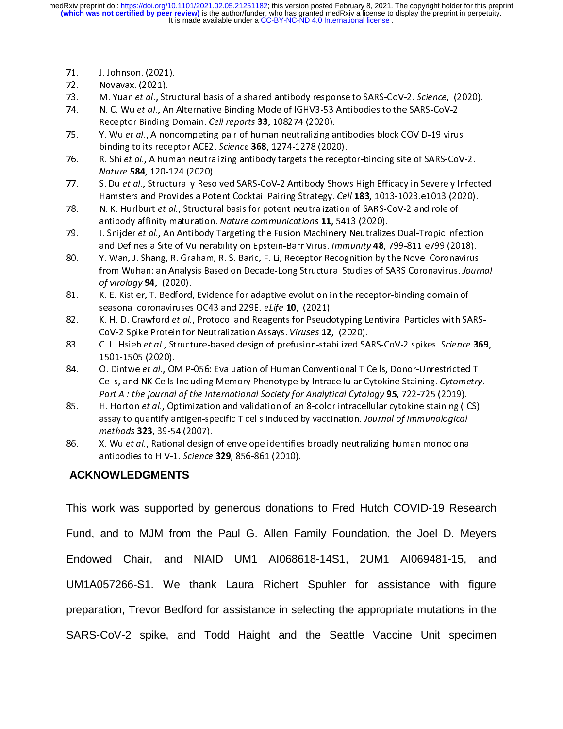- 
- 
- 
- 72. Novavax. (2021).<br>73. M. Yuan *et al.*, Stru<br>74. N. C. Wu *et al.*, An.<br>Receptor Binding D 73. M. Yuan *et al.*, Str.<br>74. N. C. Wu *et al.*, Ar<br>Receptor Binding<br>75. Y. Wu *et al.*, A no 74. M. C. Wu *et al.*, An Alternative Binding Mode of IGHV3-53 Antibodies to the SARS-CoV-2.<br>Receptor Binding Domain. *Cell reports* **33**, 108274 (2020).<br>75. Y. Wu *et al.*, A noncompeting pair of human neutralizing antibo
- 74. In the Water and Alternative Binding Mode of IGHV3-33 Antibodies to the SARS-Cov-2<br>Receptor Binding Domain. *Cell reports* **33**, 108274 (2020).<br>75. In Wu et al., A noncompeting pair of human neutralizing antibodies blo
- binding to its receptor ACE2. Science **368**, 1274-1278 (2020).<br>R. Shi et al., A human neutralizing antibody targets the recep<br>Nature 584, 120-124 (2020). 75. Y. Wu et al., A noncompeting pair of human neutralizing antibodies block COVID-19 virus<br>binding to its receptor ACE2. Science **368**, 1274-1278 (2020).<br>R. Shi et al., A human neutralizing antibody targets the receptor-b R. Shi et al., A human neutralizing antibody targets the receptor-binding site of SARS-CoV-2.
- 76. R. Shi et al., A human neutralizing antibody targets the receptor-binding site of SARS-CoV-2.<br>
77. S. Du et al., Structurally Resolved SARS-CoV-2 Antibody Shows High Efficacy in Severely Infections and Provides a Poten
- Nature 584, 120-124 (2020).<br>S. Du *et al.*, Structurally Reso<br>Hamsters and Provides a Pot.<br>N. K. Hurlburt *et al.*, Structura<br>antibody affinity maturation. 77. S. Du et al., Structurally Resolved SARS-Cov-2 Antibody Shows High Efficacy in Severely Infected<br>Hamsters and Provides a Potent Cocktail Pairing Strategy. Cell 183, 1013-1023.e1013 (2020).<br>N. K. Hurlburt et al., Struct
- Hamsters and Provides a Potent Cocktain Pairing Strategy. Cell 183, 1013-1023. E1013 (2020).<br>N. K. Hurlburt *et al.*, Structural basis for potent neutralization of SARS-CoV-2 and role of<br>antibody affinity maturation. *Natu* 78. IN: K. Hurlburt et al., Structural basis for potent neutralization of SANS-CoV-2 and role of<br>antibody affinity maturation. Nature communications 11, 5413 (2020).<br>79. I. Snijder *et al.*, An Antibody Targeting the Fusio
- antibody affinity maturation. Nature communications 11, 5413 (2020).<br>J. Snijder *et al.*, An Antibody Targeting the Fusion Machinery Neutralize<br>and Defines a Site of Vulnerability on Epstein-Barr Virus. Immunity 48, 7<br>Y. W 19. J. Shijael et al., An Antibody Targeting the Fusion Machinery Neutralizes Dual-Tropic Infection<br>and Defines a Site of Vulnerability on Epstein-Barr Virus. *Immunity* 48, 799-811 e799 (2018).<br>80. Y. Wan, J. Shang, R. Gr and Defines a Site of Vulnerability on Epstein-Barr Virus. Immunity 48, 799-811 e799 (2018).<br>
Y. Wan, J. Shang, R. Graham, R. S. Baric, F. Li, Receptor Recognition by the Novel Coronavirus<br>
from Wuhan: an Analysis Based on 81. Shang, Analysis Based on Decade-Long Structural Studies of SARS Coronavirus. Journ<br>
81. K. E. Kistler, T. Bedford, Evidence for adaptive evolution in the receptor-binding domain of<br>
81. K. E. Kistler, T. Bedford, Evide
- K. E. Kistler, T. Bedford, Evidence for adaptive evolution in the receptor-binding domain of
- K. H. D. Crawford *et al.*, Protocol and Reagents for Pseudotyping Lentiviral Particles with SARS-<br>CoV-2 Spike Protein for Neutralization Assays. *Viruses* 12, (2020). seasonal coronaviruses OC43 and 229E. *eLife* 10, (2021).<br>82. K. H. D. Crawford *et al.*, Protocol and Reagents for Pseudotyping Lentiviral Particles with SA<br>CoV-2 Spike Protein for Neutralization Assays. *Viruses* 12, (20 seasonal coronaviruses OC43 and 223E. eLife 10, (2021).<br>K. H. D. Crawford *et al.*, Protocol and Reagents for Pseudo<br>CoV-2 Spike Protein for Neutralization Assays. *Viruses* 12,<br>C. L. Hsieh *et al.*, Structure-based design
- 82. K. H. D. Crawford et al., Protocol and Reagents for Pseudotyping Lentiviral Particles with SARS-CoV-2 Spike Protein for Neutralization Assays. *Viruses* **12**, (2020).<br>83. C. L. Hsieh *et al.*, Structure-based design of
- C. L. Hsieh *et al.*, Structure-based design of prefusion-stabilized SA<br>1501-1505 (2020).<br>O. Dintwe *et al.*, OMIP-056: Evaluation of Human Conventional T C<br>Cells, and NK Cells Including Memory Phenotype by Intracellular C 83. C. L. Hsieh et al., Structure-based design of prefusion-stabilized SARS-CoV-2 spikes. Science 369,<br>84. O. Dintwe *et al.*, OMIP-056: Evaluation of Human Conventional T Cells, Donor-Unrestricted T<br>Cells, and NK Cells In 1501-1505 (2020).
- 84. O. Dintwe et al., OWIN-050. Evaluation of Human Conventional T Cells, Donor-Omestricted T<br>Cells, and NK Cells Including Memory Phenotype by Intracellular Cytokine Staining. Cytometry<br>Part A : the journal of the Interna Cells, and NK Cells Including Memory Phenotype by Intracellular Cytokine Stalling. Cytometry.<br>Part A : the journal of the International Society for Analytical Cytology 95, 722-725 (2019).<br>H. Horton et al., Optimization and H. Horton *et al.*, Optimization and validation of an 8-color intracellular cytokine staining (ICS) assay to quantify antigen-specific T cells induced by vaccination. Journal of immunological methods **323**, 39-54 (2007). 85. H. Horton et al., Optimization and validation of an 8-color intracellular cytokine standing (ICS)<br>assay to quantify antigen-specific T cells induced by vaccination. Journal of immunological<br>methods 323, 39-54 (2007).<br>8
- assay to quantify antigen-specific T cells induced by vaccination. Journal by immunological<br>methods **323**, 39-54 (2007).<br>X. Wu *et al.*, Rational design of envelope identifies broadly neutralizing human monoclona<br>antibodie antibodies to HIV-1. Science 329, 856-861 (2010). 86. X. Wu et al., Rational design of envelope identifies broadly neutralizing human monoclonal<br>antibodies to HIV-1. Science 329, 856-861 (2010).<br>**ACKNOWLEDGMENTS**

## **ACKNOWLEDGMENTS**

antibodies to HIV-1. Science 329, 856-861 (2010).<br> **ACKNOWLEDGMENTS**<br>
This work was supported by generous donations to Fred Hutch COVID-19 Research Fund, and to MJM from the Paul G. Allen Family Foundation, the Joel D. Meyers Endowed Chair, and NIAID UM1 AI068618-14S1, 2UM1 AI069481-15, and UM1A057266-S1. We thank Laura Richert Spuhler for assistance with figure preparation, Trevor Bedford for assistance in selecting the appropriate mutations in the SARS-CoV-2 spike, and Todd Haight and the Seattle Vaccine Unit specimen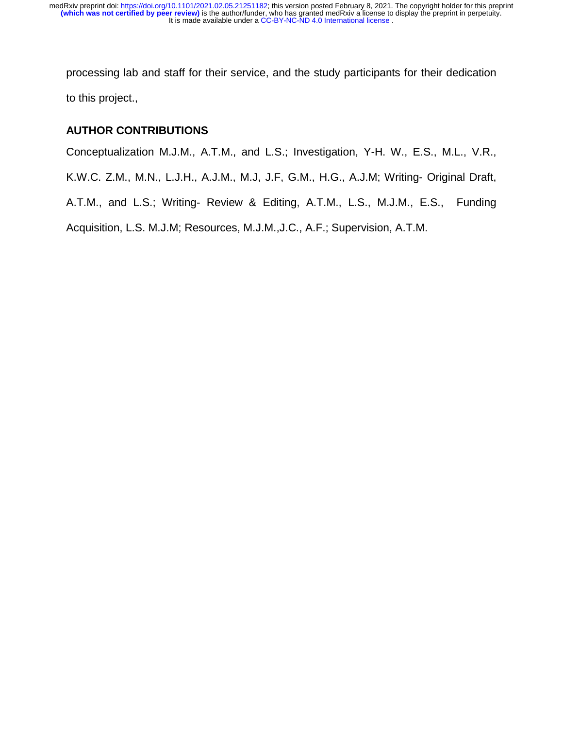processing lab and staff for their service, and the study participants for their dedication to this project.,

# **AUTHOR CONTRIBUTIONS**

Conceptualization M.J.M., A.T.M., and L.S.; Investigation, Y-H. W., E.S., M.L., V.R.,

K.W.C. Z.M., M.N., L.J.H., A.J.M., M.J, J.F, G.M., H.G., A.J.M; Writing- Original Draft,

A.T.M., and L.S.; Writing- Review & Editing, A.T.M., L.S., M.J.M., E.S., Funding

Acquisition, L.S. M.J.M; Resources, M.J.M.,J.C., A.F.; Supervision, A.T.M.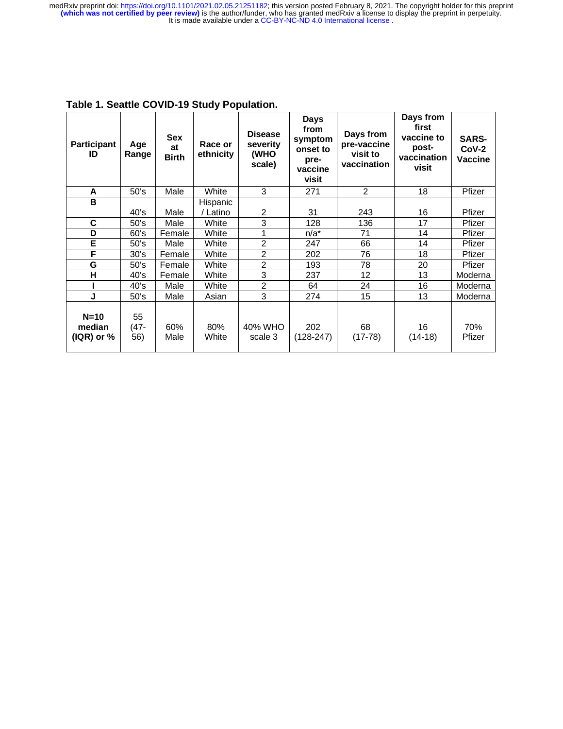| <b>Participant</b><br>ID            | Age<br>Range      | <b>Sex</b><br>at<br><b>Birth</b> | Race or<br>ethnicity | <b>Disease</b><br>severity<br>(WHO<br>scale) | <b>Days</b><br>from<br>symptom<br>onset to<br>pre-<br>vaccine<br>visit | Days from<br>pre-vaccine<br>visit to<br>vaccination | Days from<br>first<br>vaccine to<br>post-<br>vaccination<br>visit | <b>SARS-</b><br>$CoV-2$<br>Vaccine |
|-------------------------------------|-------------------|----------------------------------|----------------------|----------------------------------------------|------------------------------------------------------------------------|-----------------------------------------------------|-------------------------------------------------------------------|------------------------------------|
| A                                   | 50's              | Male                             | White                | 3                                            | 271                                                                    | $\overline{2}$                                      | 18                                                                | Pfizer                             |
| $\mathbf B$                         | 40's              | Male                             | Hispanic<br>/ Latino | 2                                            | 31                                                                     | 243                                                 | 16                                                                | Pfizer                             |
| C                                   | 50's              | Male                             | White                | 3                                            | 128                                                                    | 136                                                 | 17                                                                | Pfizer                             |
| D                                   | 60's              | Female                           | White                | 1                                            | $n/a^*$                                                                | 71                                                  | 14                                                                | Pfizer                             |
| E                                   | 50's              | Male                             | White                | $\overline{c}$                               | 247                                                                    | 66                                                  | 14                                                                | Pfizer                             |
| F                                   | 30's              | Female                           | White                | $\overline{c}$                               | 202                                                                    | 76                                                  | 18                                                                | Pfizer                             |
|                                     |                   |                                  |                      |                                              |                                                                        |                                                     |                                                                   |                                    |
| G                                   | 50's              | Female                           | White                | $\overline{c}$                               | 193                                                                    | 78                                                  | 20                                                                | Pfizer                             |
| H                                   | 40's              | Female                           | White                | 3                                            | 237                                                                    | 12                                                  | 13                                                                | Moderna                            |
|                                     | 40's              | Male                             | White                | $\overline{c}$                               | 64                                                                     | 24                                                  | 16                                                                | Moderna                            |
| J                                   | 50's              | Male                             | Asian                | 3                                            | 274                                                                    | 15                                                  | 13                                                                | Moderna                            |
| $N=10$<br>median<br>$( IQR)$ or $%$ | 55<br>(47-<br>56) | 60%<br>Male                      | 80%<br>White         | 40% WHO<br>scale 3                           | 202<br>$(128-247)$                                                     | 68<br>$(17-78)$                                     | 16<br>$(14-18)$                                                   | 70%<br>Pfizer                      |

**Table 1. Seattle COVID-19 Study Population.**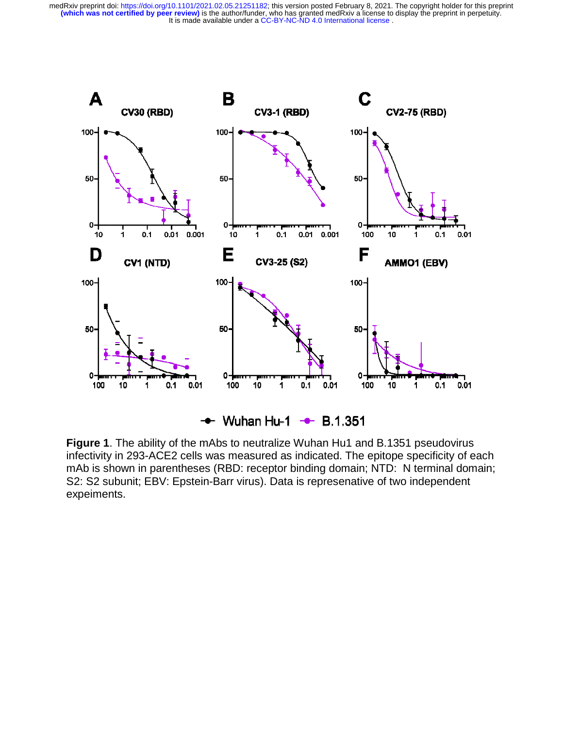medRxiv preprint doi: [https://doi.org/10.1101/2021.02.05.21251182;](https://doi.org/10.1101/2021.02.05.21251182) this version posted February 8, 2021. The copyright holder for this preprint<br>(which was not certified by peer review) is the author/funder, who has granted



**Figure 1**. The ability of the mAbs to neutralize Wuhan Hu1 and B.1351 pseudovirus infectivity in 293-ACE2 cells was measured as indicated. The epitope specificity of each mAb is shown in parentheses (RBD: receptor binding domain; NTD: N terminal domain; S2: S2 subunit; EBV: Epstein-Barr virus). Data is represenative of two independent expeiments.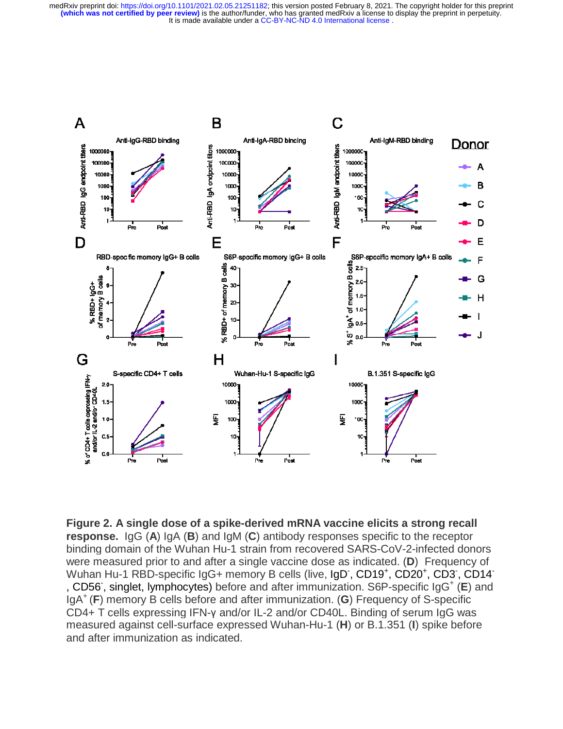

**Figure 2. A single dose of a spike-derived mRNA vaccine elicits a strong recall response.** IgG (**A**) IgA (**B**) and IgM (**C**) antibody responses specific to the receptor binding domain of the Wuhan Hu-1 strain from recovered SARS-CoV-2-infected donors were measured prior to and after a single vaccine dose as indicated. (**D**) Frequency of Wuhan Hu-1 RBD-specific IgG+ memory B cells (live, IgD, CD19<sup>+</sup>, CD20<sup>+</sup>, CD3, CD14<sup>-</sup> , CD56, singlet, lymphocytes) before and after immunization. S6P-specific IgG<sup>+</sup> (E) and IgA+ (**F**) memory B cells before and after immunization. (**G**) Frequency of S-specific CD4+ T cells expressing IFN-γ and/or IL-2 and/or CD40L. Binding of serum IgG was measured against cell-surface expressed Wuhan-Hu-1 (**H**) or B.1.351 (**I**) spike before and after immunization as indicated.